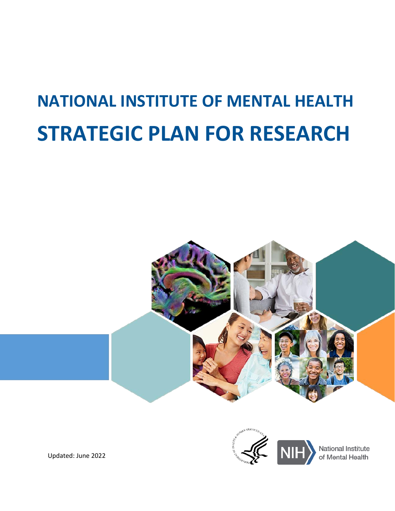# **NATIONAL INSTITUTE OF MENTAL HEALTH STRATEGIC PLAN FOR RESEARCH**





Updated: June 2022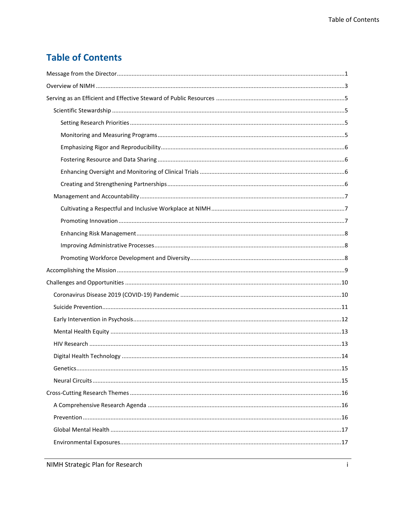### **Table of Contents**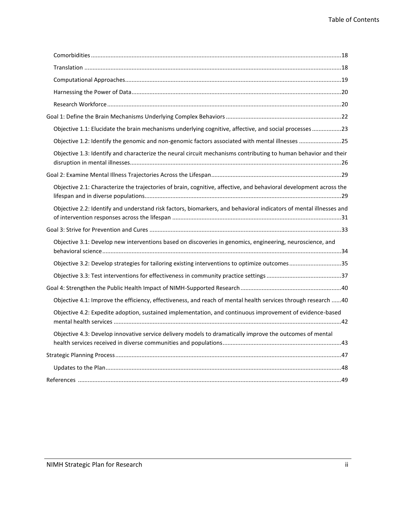| Objective 1.1: Elucidate the brain mechanisms underlying cognitive, affective, and social processes 23             |  |
|--------------------------------------------------------------------------------------------------------------------|--|
| Objective 1.2: Identify the genomic and non-genomic factors associated with mental illnesses 25                    |  |
| Objective 1.3: Identify and characterize the neural circuit mechanisms contributing to human behavior and their    |  |
|                                                                                                                    |  |
| Objective 2.1: Characterize the trajectories of brain, cognitive, affective, and behavioral development across the |  |
| Objective 2.2: Identify and understand risk factors, biomarkers, and behavioral indicators of mental illnesses and |  |
|                                                                                                                    |  |
| Objective 3.1: Develop new interventions based on discoveries in genomics, engineering, neuroscience, and          |  |
| Objective 3.2: Develop strategies for tailoring existing interventions to optimize outcomes35                      |  |
|                                                                                                                    |  |
|                                                                                                                    |  |
| Objective 4.1: Improve the efficiency, effectiveness, and reach of mental health services through research 40      |  |
| Objective 4.2: Expedite adoption, sustained implementation, and continuous improvement of evidence-based           |  |
| Objective 4.3: Develop innovative service delivery models to dramatically improve the outcomes of mental           |  |
|                                                                                                                    |  |
|                                                                                                                    |  |
|                                                                                                                    |  |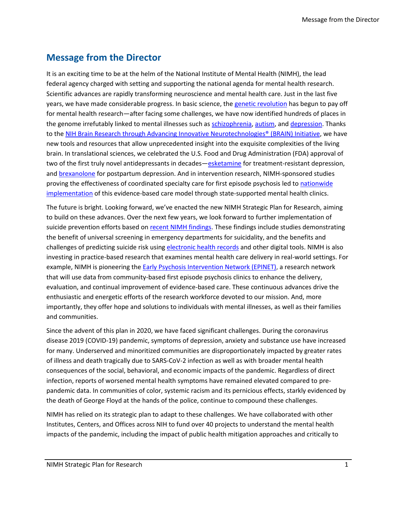### <span id="page-3-0"></span>**Message from the Director**

It is an exciting time to be at the helm of the National Institute of Mental Health (NIMH), the lead federal agency charged with setting and supporting the national agenda for mental health research. Scientific advances are rapidly transforming neuroscience and mental health care. Just in the last five years, we have made considerable progress. In basic science, th[e genetic revolution](https://www.nimh.nih.gov/news/science-news/science-news-about-genetics.shtml) has begun to pay off for mental health research—after facing some challenges, we have now identified hundreds of places in the genome irrefutably linked to mental illnesses such as [schizophrenia, autism,](https://www.nimh.nih.gov/archive/news/2018/suspect-molecules-overlap-in-autism-schizophrenia-bipolar-disorder) and [depression.](https://www.nimh.nih.gov/archive/news/2016/tapping-crowd-sourced-data-unearths-a-trove-of-depression-genes) Thanks to th[e NIH Brain Research through Advancing](https://braininitiative.nih.gov/) Innovative Neurotechnologies® (BRAIN) Initiative, we have new tools and resources that allow unprecedented insight into the exquisite complexities of the living brain. In translational sciences, we celebrated the U.S. Food and Drug Administration (FDA) approval of two of the first truly novel antidepressants in decades—[esketamine](https://www.nimh.nih.gov/about/director/messages/2019/new-hope-for-treatment-resistant-depression-guessing-right-on-ketamine.shtml) for treatment-resistant depression, and [brexanolone](https://www.nimh.nih.gov/about/director/messages/2019/a-bench-to-bedside-story-the-development-of-a-treatment-for-postpartum-depression.shtml) for postpartum depression. And in intervention research, NIMH-sponsored studies proving the effectiveness of coordinated specialty care for first episode psychosis led to nationwide [implementation](https://www.nimh.nih.gov/archive/news/2015/federal-agencies-partner-to-promote-coordinated-services-for-patients-with-first-episode-psychosis) of this evidence-based care model through state-supported mental health clinics.

The future is bright. Looking forward, we've enacted the new NIMH Strategic Plan for Research, aiming to build on these advances. Over the next few years, we look forward to further implementation of suicide prevention efforts based o[n recent NIMH findings.](https://www.nimh.nih.gov/news/science-news/science-news-about-suicide) These findings include studies demonstrating the benefit of universal screening in emergency departments for suicidality, and the benefits and challenges of predicting suicide risk usin[g electronic health records](https://www.nimh.nih.gov/news/events/2019/risk-algorithm) and other digital tools. NIMH is also investing in practice-based research that examines mental health care delivery in real-world settings. For example, NIMH is pioneering the [Early Psychosis Intervention Network \(EPINET\),](https://www.nimh.nih.gov/research/research-funded-by-nimh/research-initiatives/early-psychosis-intervention-network-epinet) a research network that will use data from community-based first episode psychosis clinics to enhance the delivery, evaluation, and continual improvement of evidence-based care. These continuous advances drive the enthusiastic and energetic efforts of the research workforce devoted to our mission. And, more importantly, they offer hope and solutions to individuals with mental illnesses, as well as their families and communities.

Since the advent of this plan in 2020, we have faced significant challenges. During the coronavirus disease 2019 (COVID-19) pandemic, symptoms of depression, anxiety and substance use have increased for many. Underserved and minoritized communities are disproportionately impacted by greater rates of illness and death tragically due to SARS-CoV-2 infection as well as with broader mental health consequences of the social, behavioral, and economic impacts of the pandemic. Regardless of direct infection, reports of worsened mental health symptoms have remained elevated compared to prepandemic data. In communities of color, systemic racism and its pernicious effects, starkly evidenced by the death of George Floyd at the hands of the police, continue to compound these challenges.

NIMH has relied on its strategic plan to adapt to these challenges. We have collaborated with other Institutes, Centers, and Offices across NIH to fund over 40 projects to understand the mental health impacts of the pandemic, including the impact of public health mitigation approaches and critically to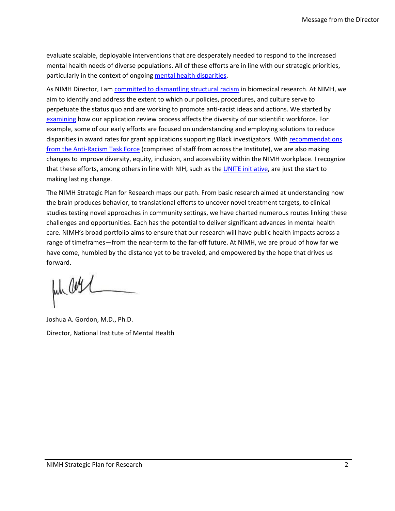evaluate scalable, deployable interventions that are desperately needed to respond to the increased mental health needs of diverse populations. All of these efforts are in line with our strategic priorities, particularly in the context of ongoing [mental health disparities.](https://pubprd.nimh.nih.gov/about/organization/od/odwd/nimhs-approach-to-mental-health-disparities-research)

As NIMH Director, I am [committed to dismantling structural racism](https://www.nimh.nih.gov/news/science-news/2021/nimh-directors-statement-our-commitment-to-ending-structural-racism-in-biomedical-research) in biomedical research. At NIMH, we aim to identify and address the extent to which our policies, procedures, and culture serve to perpetuate the status quo and are working to promote anti-racist ideas and actions. We started by [examining](https://www.nimh.nih.gov/about/director/messages/2022/steps-toward-equity-at-nimh-an-update) how our application review process affects the diversity of our scientific workforce. For example, some of our early efforts are focused on understanding and employing solutions to reduce disparities in award rates for grant applications supporting Black investigators. Wit[h recommendations](https://www.nimh.nih.gov/about/advisory-boards-and-groups/namhc/2021/may/namhc-minutes-of-the-263rd-meeting)  [from the Anti-Racism Task Force](https://www.nimh.nih.gov/about/advisory-boards-and-groups/namhc/2021/may/namhc-minutes-of-the-263rd-meeting) (comprised of staff from across the Institute), we are also making changes to improve diversity, equity, inclusion, and accessibility within the NIMH workplace. I recognize that these efforts, among others in line with NIH, such as the [UNITE initiative,](https://www.nih.gov/ending-structural-racism/unite) are just the start to making lasting change.

The NIMH Strategic Plan for Research maps our path. From basic research aimed at understanding how the brain produces behavior, to translational efforts to uncover novel treatment targets, to clinical studies testing novel approaches in community settings, we have charted numerous routes linking these challenges and opportunities. Each has the potential to deliver significant advances in mental health care. NIMH's broad portfolio aims to ensure that our research will have public health impacts across a range of timeframes—from the near-term to the far-off future. At NIMH, we are proud of how far we have come, humbled by the distance yet to be traveled, and empowered by the hope that drives us forward.

Jul Curl

Joshua A. Gordon, M.D., Ph.D. Director, National Institute of Mental Health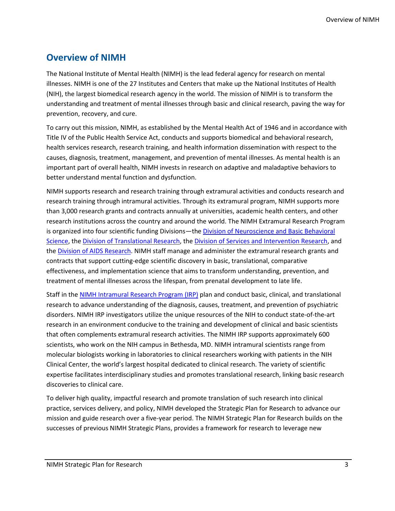### <span id="page-5-0"></span>**Overview of NIMH**

The National Institute of Mental Health (NIMH) is the lead federal agency for research on mental illnesses. NIMH is one of the 27 Institutes and Centers that make up the National Institutes of Health (NIH), the largest biomedical research agency in the world. The mission of NIMH is to transform the understanding and treatment of mental illnesses through basic and clinical research, paving the way for prevention, recovery, and cure.

To carry out this mission, NIMH, as established by the Mental Health Act of 1946 and in accordance with Title IV of the Public Health Service Act, conducts and supports biomedical and behavioral research, health services research, research training, and health information dissemination with respect to the causes, diagnosis, treatment, management, and prevention of mental illnesses. As mental health is an important part of overall health, NIMH invests in research on adaptive and maladaptive behaviors to better understand mental function and dysfunction.

NIMH supports research and research training through extramural activities and conducts research and research training through intramural activities. Through its extramural program, NIMH supports more than 3,000 research grants and contracts annually at universities, academic health centers, and other research institutions across the country and around the world. The NIMH Extramural Research Program is organized into four scientific funding Divisions—the Division of Neuroscience and Basic Behavioral [Science,](https://www.nimh.nih.gov/about/organization/dnbbs/index.shtml) the [Division of Translational Research,](https://www.nimh.nih.gov/about/organization/dtr/index.shtml) the [Division of Services and Intervention Research,](https://www.nimh.nih.gov/about/organization/dsir/index.shtml) and the **Division of AIDS Research**. NIMH staff manage and administer the extramural research grants and contracts that support cutting-edge scientific discovery in basic, translational, comparative effectiveness, and implementation science that aims to transform understanding, prevention, and treatment of mental illnesses across the lifespan, from prenatal development to late life.

Staff in th[e NIMH Intramural Research Program \(IRP\)](https://www.nimh.nih.gov/research/research-conducted-at-nimh/index.shtml) plan and conduct basic, clinical, and translational research to advance understanding of the diagnosis, causes, treatment, and prevention of psychiatric disorders. NIMH IRP investigators utilize the unique resources of the NIH to conduct state-of-the-art research in an environment conducive to the training and development of clinical and basic scientists that often complements extramural research activities. The NIMH IRP supports approximately 600 scientists, who work on the NIH campus in Bethesda, MD. NIMH intramural scientists range from molecular biologists working in laboratories to clinical researchers working with patients in the NIH Clinical Center, the world's largest hospital dedicated to clinical research. The variety of scientific expertise facilitates interdisciplinary studies and promotes translational research, linking basic research discoveries to clinical care.

To deliver high quality, impactful research and promote translation of such research into clinical practice, services delivery, and policy, NIMH developed the Strategic Plan for Research to advance our mission and guide research over a five-year period. The NIMH Strategic Plan for Research builds on the successes of previous NIMH Strategic Plans, provides a framework for research to leverage new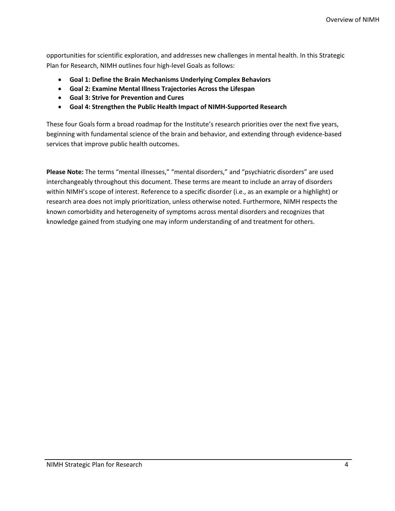opportunities for scientific exploration, and addresses new challenges in mental health. In this Strategic Plan for Research, NIMH outlines four high-level Goals as follows:

- **Goal 1: Define the Brain Mechanisms Underlying Complex Behaviors**
- **Goal 2: Examine Mental Illness Trajectories Across the Lifespan**
- **Goal 3: Strive for Prevention and Cures**
- **Goal 4: Strengthen the Public Health Impact of NIMH-Supported Research**

These four Goals form a broad roadmap for the Institute's research priorities over the next five years, beginning with fundamental science of the brain and behavior, and extending through evidence-based services that improve public health outcomes.

**Please Note:** The terms "mental illnesses," "mental disorders," and "psychiatric disorders" are used interchangeably throughout this document. These terms are meant to include an array of disorders within NIMH's scope of interest. Reference to a specific disorder (i.e., as an example or a highlight) or research area does not imply prioritization, unless otherwise noted. Furthermore, NIMH respects the known comorbidity and heterogeneity of symptoms across mental disorders and recognizes that knowledge gained from studying one may inform understanding of and treatment for others.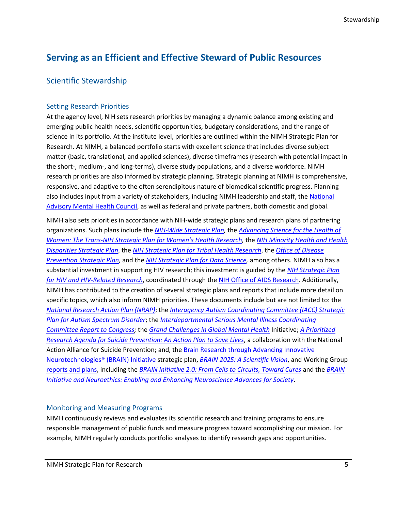### <span id="page-7-0"></span>**Serving as an Efficient and Effective Steward of Public Resources**

#### <span id="page-7-1"></span>Scientific Stewardship

#### <span id="page-7-2"></span>Setting Research Priorities

At the agency level, NIH sets research priorities by managing a dynamic balance among existing and emerging public health needs, scientific opportunities, budgetary considerations, and the range of science in its portfolio. At the institute level, priorities are outlined within the NIMH Strategic Plan for Research. At NIMH, a balanced portfolio starts with excellent science that includes diverse subject matter (basic, translational, and applied sciences), diverse timeframes (research with potential impact in the short-, medium-, and long-terms), diverse study populations, and a diverse workforce. NIMH research priorities are also informed by strategic planning. Strategic planning at NIMH is comprehensive, responsive, and adaptive to the often serendipitous nature of biomedical scientific progress. Planning also includes input from a variety of stakeholders, including NIMH leadership and staff, the National [Advisory Mental Health Council,](https://www.nimh.nih.gov/about/advisory-boards-and-groups/namhc/index.shtml) as well as federal and private partners, both domestic and global.

NIMH also sets priorities in accordance with NIH-wide strategic plans and research plans of partnering organizations. Such plans include the *[NIH-Wide Strategic Plan,](https://www.nih.gov/about-nih/nih-wide-strategic-plan)* the *[Advancing Science for the Health of](https://orwh.od.nih.gov/about/trans-nih-strategic-plan-womens-health-research)  [Women: The Trans-NIH Strategic Plan](https://orwh.od.nih.gov/about/trans-nih-strategic-plan-womens-health-research) for Women's Health Research,* the *[NIH Minority Health and Health](https://www.nimhd.nih.gov/about/strategic-plan/)  [Disparities Strategic Plan](https://www.nimhd.nih.gov/about/strategic-plan/)*, the *[NIH Strategic Plan for Tribal Health Research](https://dpcpsi.nih.gov/sites/default/files/2019_THRO_StrategicPlan_508.pdf)*, the *[Office of Disease](https://prevention.nih.gov/about-odp/strategic-plan-2019-2023)  [Prevention Strategic](https://prevention.nih.gov/about-odp/strategic-plan-2019-2023) Plan,* and the *[NIH Strategic Plan for Data Science,](https://datascience.nih.gov/strategicplan)* among others. NIMH also has a substantial investment in supporting HIV research; this investment is guided by the *[NIH Strategic Plan](https://www.oar.nih.gov/hiv-policy-and-research/strategic-plan)  [for HIV and HIV-Related Research](https://www.oar.nih.gov/hiv-policy-and-research/strategic-plan)*, coordinated through the [NIH Office of AIDS Research.](https://www.oar.nih.gov/) Additionally, NIMH has contributed to the creation of several strategic plans and reports that include more detail on specific topics, which also inform NIMH priorities. These documents include but are not limited to: the *[National Research Action Plan \(NRAP\)](https://obamawhitehouse.archives.gov/sites/default/files/uploads/nrap_for_eo_on_mental_health_august_2013.pdf)*; the *[Interagency Autism Coordinating Committee \(IACC\) Strategic](https://iacc.hhs.gov/publications/strategic-plan/2019/)  [Plan for Autism Spectrum Disorder](https://iacc.hhs.gov/publications/strategic-plan/2019/)*; the *[Interdepartmental Serious Mental Illness Coordinating](https://www.samhsa.gov/about-us/advisory-councils/ismicc)  [Committee Report to Congress;](https://www.samhsa.gov/about-us/advisory-councils/ismicc)* the *[Grand Challenges in Global Mental Health](https://www.ncbi.nlm.nih.gov/pmc/articles/PMC3173804/)* Initiative; *[A Prioritized](https://www.sprc.org/resources-programs/prioritized-research-agenda-suicide-prevention-action-plan-save-lives)  [Research Agenda for Suicide Prevention: An Action Plan to Save Lives](https://www.sprc.org/resources-programs/prioritized-research-agenda-suicide-prevention-action-plan-save-lives)*, a collaboration with the National Action Alliance for Suicide Prevention; and, the Brain Research through Advancing Innovative [Neurotechnologies®](https://braininitiative.nih.gov/) (BRAIN) Initiative strategic plan, *[BRAIN 2025: A Scientific Vision](https://braininitiative.nih.gov/strategic-planning/brain-2025-report)*, and Working Group [reports and plans,](https://braininitiative.nih.gov/strategic-planning/acd-working-and-sub-groups) including the *[BRAIN Initiative 2.0: From Cells to Circuits, Toward Cures](https://braininitiative.nih.gov/strategic-planning/acd-working-groups/brain-initiative-20-cells-circuits-toward-cures)* and the *[BRAIN](https://braininitiative.nih.gov/strategic-planning/acd-working-groups/brain-initiative-and-neuroethics-enabling-and-enhancing)  [Initiative and Neuroethics: Enabling and Enhancing Neuroscience Advances for Society](https://braininitiative.nih.gov/strategic-planning/acd-working-groups/brain-initiative-and-neuroethics-enabling-and-enhancing)*.

#### <span id="page-7-3"></span>Monitoring and Measuring Programs

NIMH continuously reviews and evaluates its scientific research and training programs to ensure responsible management of public funds and measure progress toward accomplishing our mission. For example, NIMH regularly conducts portfolio analyses to identify research gaps and opportunities.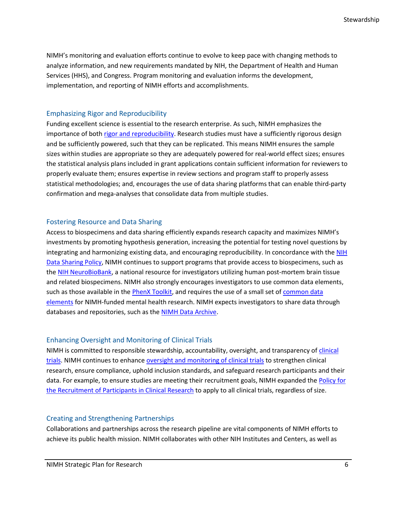NIMH's monitoring and evaluation efforts continue to evolve to keep pace with changing methods to analyze information, and new requirements mandated by NIH, the Department of Health and Human Services (HHS), and Congress. Program monitoring and evaluation informs the development, implementation, and reporting of NIMH efforts and accomplishments.

#### <span id="page-8-0"></span>Emphasizing Rigor and Reproducibility

Funding excellent science is essential to the research enterprise. As such, NIMH emphasizes the importance of both [rigor and reproducibility.](https://acd.od.nih.gov/working-groups/eprar.html) Research studies must have a sufficiently rigorous design and be sufficiently powered, such that they can be replicated. This means NIMH ensures the sample sizes within studies are appropriate so they are adequately powered for real-world effect sizes; ensures the statistical analysis plans included in grant applications contain sufficient information for reviewers to properly evaluate them; ensures expertise in review sections and program staff to properly assess statistical methodologies; and, encourages the use of data sharing platforms that can enable third-party confirmation and mega-analyses that consolidate data from multiple studies.

#### <span id="page-8-1"></span>Fostering Resource and Data Sharing

Access to biospecimens and data sharing efficiently expands research capacity and maximizes NIMH's investments by promoting hypothesis generation, increasing the potential for testing novel questions by integrating and harmonizing existing data, and encouraging reproducibility. In concordance with the NIH [Data Sharing Policy,](https://sharing.nih.gov/data-management-and-sharing-policy/about-data-management-sharing-policy/data-management-and-sharing-policy-overview#after) NIMH continues to support programs that provide access to biospecimens, such as th[e NIH NeuroBioBank,](https://neurobiobank.nih.gov/about/) a national resource for investigators utilizing human post-mortem brain tissue and related biospecimens. NIMH also strongly encourages investigators to use common data elements, such as those available in the [PhenX Toolkit,](https://www.phenxtoolkit.org/) and requires the use of a small set of [common data](https://grants.nih.gov/grants/guide/notice-files/NOT-MH-20-067.html)  [elements](https://grants.nih.gov/grants/guide/notice-files/NOT-MH-20-067.html) for NIMH-funded mental health research. NIMH expects investigators to share data through databases and repositories, such as the [NIMH Data Archive.](https://nda.nih.gov/)

#### <span id="page-8-2"></span>Enhancing Oversight and Monitoring of Clinical Trials

NIMH is committed to responsible stewardship, accountability, oversight, and transparency of clinical [trials.](https://www.nimh.nih.gov/funding/clinical-research/index.shtml) NIMH continues to enhance [oversight and monitoring of clinical trials](https://grants.nih.gov/grants/guide/notice-files/NOT-MH-19-027.html) to strengthen clinical research, ensure compliance, uphold inclusion standards, and safeguard research participants and their data. For example, to ensure studies are meeting their recruitment goals, NIMH expanded the [Policy for](https://www.nimh.nih.gov/funding/grant-writing-and-application-process/nimh-recruitment-of-participants-in-clinical-research-policy.shtml) the [Recruitment of Participants in Clinical Research](https://www.nimh.nih.gov/funding/grant-writing-and-application-process/nimh-recruitment-of-participants-in-clinical-research-policy.shtml) to apply to all clinical trials, regardless of size.

#### <span id="page-8-3"></span>Creating and Strengthening Partnerships

Collaborations and partnerships across the research pipeline are vital components of NIMH efforts to achieve its public health mission. NIMH collaborates with other NIH Institutes and Centers, as well as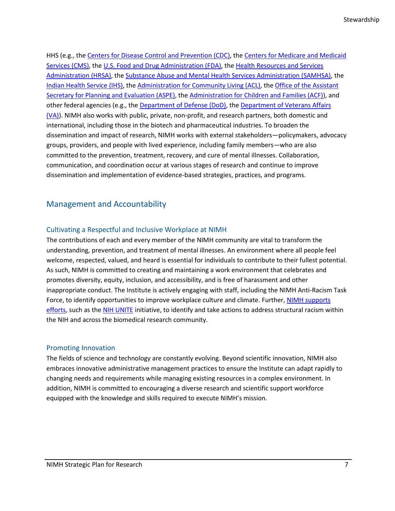HHS (e.g., th[e Centers for Disease Control and Prevention](https://www.cdc.gov/) (CDC), the Centers for Medicare and Medicaid [Services \(CMS\),](https://www.cms.gov/) th[e U.S. Food and Drug Administration \(FDA\),](https://www.fda.gov/home) th[e Health Resources and Services](https://www.hrsa.gov/)  [Administration \(HRSA\),](https://www.hrsa.gov/) th[e Substance Abuse and Mental Health Services Administration \(SAMHSA\),](https://www.samhsa.gov/) the [Indian Health Service](https://www.ihs.gov/) (IHS), the [Administration for Community Living \(ACL\),](https://acl.gov/) th[e Office of the Assistant](https://aspe.hhs.gov/)  [Secretary for Planning and Evaluation \(ASPE\),](https://aspe.hhs.gov/) the [Administration for Children and Families \(ACF\)\)](https://www.acf.hhs.gov/), and other federal agencies (e.g., th[e Department of Defense \(DoD\),](https://www.defense.gov/) the [Department of Veterans Affairs](https://www.va.gov/)  [\(VA\)\)](https://www.va.gov/). NIMH also works with public, private, non-profit, and research partners, both domestic and international, including those in the biotech and pharmaceutical industries. To broaden the dissemination and impact of research, NIMH works with external stakeholders—policymakers, advocacy groups, providers, and people with lived experience, including family members—who are also committed to the prevention, treatment, recovery, and cure of mental illnesses. Collaboration, communication, and coordination occur at various stages of research and continue to improve dissemination and implementation of evidence-based strategies, practices, and programs.

#### <span id="page-9-0"></span>Management and Accountability

#### <span id="page-9-1"></span>Cultivating a Respectful and Inclusive Workplace at NIMH

The contributions of each and every member of the NIMH community are vital to transform the understanding, prevention, and treatment of mental illnesses. An environment where all people feel welcome, respected, valued, and heard is essential for individuals to contribute to their fullest potential. As such, NIMH is committed to creating and maintaining a work environment that celebrates and promotes diversity, equity, inclusion, and accessibility, and is free of harassment and other inappropriate conduct. The Institute is actively engaging with staff, including the NIMH Anti-Racism Task Force, to identify opportunities to improve workplace culture and climate. Further, NIMH supports [efforts,](https://www.nimh.nih.gov/news/science-news/2021/nimh-directors-statement-our-commitment-to-ending-structural-racism-in-biomedical-research.shtml) such as th[e NIH UNITE](https://www.nih.gov/ending-structural-racism) initiative, to identify and take actions to address structural racism within the NIH and across the biomedical research community.

#### <span id="page-9-2"></span>Promoting Innovation

The fields of science and technology are constantly evolving. Beyond scientific innovation, NIMH also embraces innovative administrative management practices to ensure the Institute can adapt rapidly to changing needs and requirements while managing existing resources in a complex environment. In addition, NIMH is committed to encouraging a diverse research and scientific support workforce equipped with the knowledge and skills required to execute NIMH's mission.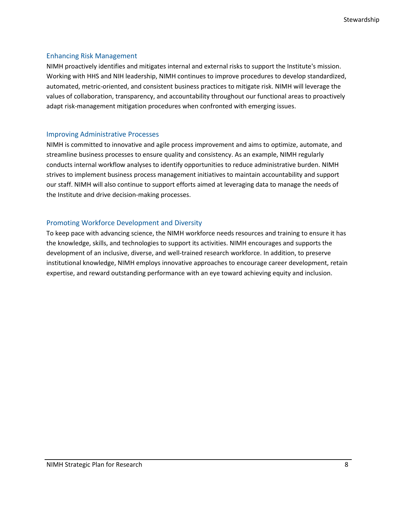#### <span id="page-10-0"></span>Enhancing Risk Management

NIMH proactively identifies and mitigates internal and external risks to support the Institute's mission. Working with HHS and NIH leadership, NIMH continues to improve procedures to develop standardized, automated, metric-oriented, and consistent business practices to mitigate risk. NIMH will leverage the values of collaboration, transparency, and accountability throughout our functional areas to proactively adapt risk-management mitigation procedures when confronted with emerging issues.

#### <span id="page-10-1"></span>Improving Administrative Processes

NIMH is committed to innovative and agile process improvement and aims to optimize, automate, and streamline business processes to ensure quality and consistency. As an example, NIMH regularly conducts internal workflow analyses to identify opportunities to reduce administrative burden. NIMH strives to implement business process management initiatives to maintain accountability and support our staff. NIMH will also continue to support efforts aimed at leveraging data to manage the needs of the Institute and drive decision-making processes.

#### <span id="page-10-2"></span>Promoting Workforce Development and Diversity

To keep pace with advancing science, the NIMH workforce needs resources and training to ensure it has the knowledge, skills, and technologies to support its activities. NIMH encourages and supports the development of an inclusive, diverse, and well-trained research workforce. In addition, to preserve institutional knowledge, NIMH employs innovative approaches to encourage career development, retain expertise, and reward outstanding performance with an eye toward achieving equity and inclusion.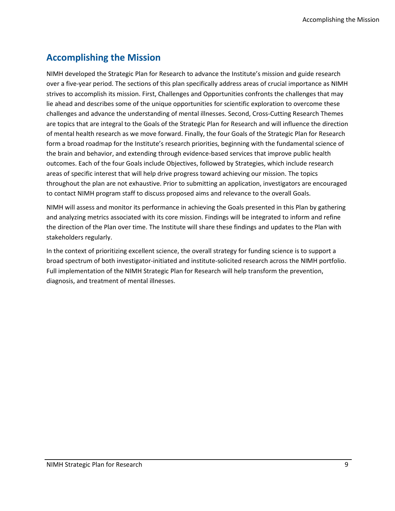### <span id="page-11-0"></span>**Accomplishing the Mission**

NIMH developed the Strategic Plan for Research to advance the Institute's mission and guide research over a five-year period. The sections of this plan specifically address areas of crucial importance as NIMH strives to accomplish its mission. First, Challenges and Opportunities confronts the challenges that may lie ahead and describes some of the unique opportunities for scientific exploration to overcome these challenges and advance the understanding of mental illnesses. Second, Cross-Cutting Research Themes are topics that are integral to the Goals of the Strategic Plan for Research and will influence the direction of mental health research as we move forward. Finally, the four Goals of the Strategic Plan for Research form a broad roadmap for the Institute's research priorities, beginning with the fundamental science of the brain and behavior, and extending through evidence-based services that improve public health outcomes. Each of the four Goals include Objectives, followed by Strategies, which include research areas of specific interest that will help drive progress toward achieving our mission. The topics throughout the plan are not exhaustive. Prior to submitting an application, investigators are encouraged to contact NIMH program staff to discuss proposed aims and relevance to the overall Goals.

NIMH will assess and monitor its performance in achieving the Goals presented in this Plan by gathering and analyzing metrics associated with its core mission. Findings will be integrated to inform and refine the direction of the Plan over time. The Institute will share these findings and updates to the Plan with stakeholders regularly.

In the context of prioritizing excellent science, the overall strategy for funding science is to support a broad spectrum of both investigator-initiated and institute-solicited research across the NIMH portfolio. Full implementation of the NIMH Strategic Plan for Research will help transform the prevention, diagnosis, and treatment of mental illnesses.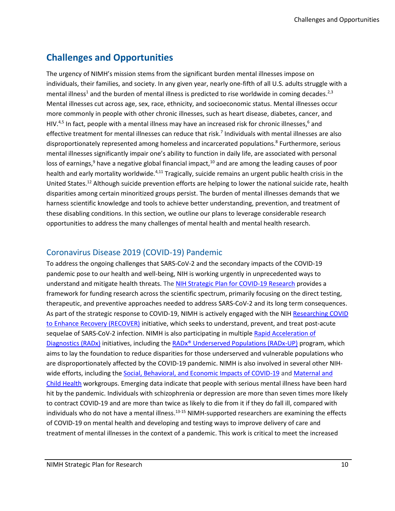### <span id="page-12-0"></span>**Challenges and Opportunities**

The urgency of NIMH's mission stems from the significant burden mental illnesses impose on individuals, their families, and society. In any given year, nearly one-fifth of all U.S. adults struggle with a mental illness<sup>1</sup> and the burden of mental illness is predicted to rise worldwide in coming decades.<sup>2,3</sup> Mental illnesses cut across age, sex, race, ethnicity, and socioeconomic status. Mental illnesses occur more commonly in people with other chronic illnesses, such as heart disease, diabetes, cancer, and HIV.<sup>4,5</sup> In fact, people with a mental illness may have an increased risk for chronic illnesses,<sup>6</sup> and effective treatment for mental illnesses can reduce that risk.<sup>7</sup> Individuals with mental illnesses are also disproportionately represented among homeless and incarcerated populations. 8 Furthermore, serious mental illnesses significantly impair one's ability to function in daily life, are associated with personal loss of earnings, $9$  have a negative global financial impact, $10$  and are among the leading causes of poor health and early mortality worldwide.<sup>4,11</sup> Tragically, suicide remains an urgent public health crisis in the United States.<sup>12</sup> Although suicide prevention efforts are helping to lower the national suicide rate, health disparities among certain minoritized groups persist. The burden of mental illnesses demands that we harness scientific knowledge and tools to achieve better understanding, prevention, and treatment of these disabling conditions. In this section, we outline our plans to leverage considerable research opportunities to address the many challenges of mental health and mental health research.

#### <span id="page-12-1"></span>Coronavirus Disease 2019 (COVID-19) Pandemic

To address the ongoing challenges that SARS-CoV-2 and the secondary impacts of the COVID-19 pandemic pose to our health and well-being, NIH is working urgently in unprecedented ways to understand and mitigate health threats. The [NIH Strategic Plan for COVID-19 Research](https://www.nih.gov/sites/default/files/research-training/initiatives/covid-19-strategic-plan/coronavirus-strategic-plan-20200713.pdf) provides a framework for funding research across the scientific spectrum, primarily focusing on the direct testing, therapeutic, and preventive approaches needed to address SARS-CoV-2 and its long term consequences. As part of the strategic response to COVID-19, NIMH is actively engaged with the NIH [Researching COVID](https://recovercovid.org/)  [to Enhance Recovery \(RECOVER\)](https://recovercovid.org/) initiative, which seeks to understand, prevent, and treat post-acute sequelae of SARS-CoV-2 infection. NIMH is also participating in multiple Rapid Acceleration of [Diagnostics \(RADx\)](https://www.nih.gov/research-training/medical-research-initiatives/radx/radx-programs) initiatives, including the RADx® [Underserved Populations \(RADx-UP\)](https://www.nih.gov/research-training/medical-research-initiatives/radx/radx-programs#radx-up) program, which aims to lay the foundation to reduce disparities for those underserved and vulnerable populations who are disproportionately affected by the COVID-19 pandemic. NIMH is also involved in several other NIHwide efforts, including th[e Social, Behavioral, and Economic Impacts of COVID-19](https://covid19.nih.gov/research-highlights/covid19-ripple-effects) and [Maternal and](https://covid19.nih.gov/research-highlights/pregnancy-risks)  [Child Health](https://covid19.nih.gov/research-highlights/pregnancy-risks) workgroups. Emerging data indicate that people with serious mental illness have been hard hit by the pandemic. Individuals with schizophrenia or depression are more than seven times more likely to contract COVID-19 and are more than twice as likely to die from it if they do fall ill, compared with individuals who do not have a mental illness.<sup>13-15</sup> NIMH-supported researchers are examining the effects of COVID-19 on mental health and developing and testing ways to improve delivery of care and treatment of mental illnesses in the context of a pandemic. This work is critical to meet the increased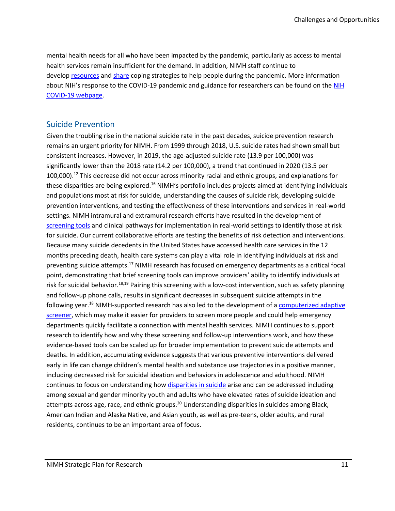mental health needs for all who have been impacted by the pandemic, particularly as access to mental health services remain insufficient for the demand. In addition, NIMH staff continue to develop [resources](https://www.nimh.nih.gov/health/education-awareness/shareable-resources-on-coping-with-covid-19.shtml) and [share](https://www.nimh.nih.gov/health/education-awareness/shareable-resources-on-coping-with-covid-19.shtml#news) coping strategies to help people during the pandemic. More information about NIH's response to the COVID-19 pandemic and guidance for researchers can be found on the NIH [COVID-19 webpage.](https://www.nih.gov/health-information/coronavirus)

#### <span id="page-13-0"></span>Suicide Prevention

Given the troubling rise in the national suicide rate in the past decades, suicide prevention research remains an urgent priority for NIMH. From 1999 through 2018, U.S. suicide rates had shown small but consistent increases. However, in 2019, the age-adjusted suicide rate (13.9 per 100,000) was significantly lower than the 2018 rate (14.2 per 100,000), a trend that continued in 2020 (13.5 per 100,000). <sup>12</sup> This decrease did not occur across minority racial and ethnic groups, and explanations for these disparities are being explored.<sup>16</sup> NIMH's portfolio includes projects aimed at identifying individuals and populations most at risk for suicide, understanding the causes of suicide risk, developing suicide prevention interventions, and testing the effectiveness of these interventions and services in real-world settings. NIMH intramural and extramural research efforts have resulted in the development of [screening tools](https://www.nimh.nih.gov/research/research-conducted-at-nimh/asq-toolkit-materials) and clinical pathways for implementation in real-world settings to identify those at risk for suicide. Our current collaborative efforts are testing the benefits of risk detection and interventions. Because many suicide decedents in the United States have accessed health care services in the 12 months preceding death, health care systems can play a vital role in identifying individuals at risk and preventing suicide attempts.<sup>17</sup> NIMH research has focused on emergency departments as a critical focal point, demonstrating that brief screening tools can improve providers' ability to identify individuals at risk for suicidal behavior.<sup>18,19</sup> Pairing this screening with a low-cost intervention, such as safety planning and follow-up phone calls, results in significant decreases in subsequent suicide attempts in the following year.<sup>18</sup> NIMH-supported research has also led to the development of a **computerized adaptive** [screener,](https://www.nimh.nih.gov/news/science-news/2021/adaptive-screener-may-help-identify-youth-at-risk-of-suicide) which may make it easier for providers to screen more people and could help emergency departments quickly facilitate a connection with mental health services. NIMH continues to support research to identify how and why these screening and follow-up interventions work, and how these evidence-based tools can be scaled up for broader implementation to prevent suicide attempts and deaths. In addition, accumulating evidence suggests that various preventive interventions delivered early in life can change children's mental health and substance use trajectories in a positive manner, including decreased risk for suicidal ideation and behaviors in adolescence and adulthood. NIMH continues to focus on understanding how [disparities in suicide](https://www.nimh.nih.gov/news/science-news/2021/researchers-find-disparities-in-suicide-risk-among-lesbian-gay-and-bisexual-adults) arise and can be addressed including among sexual and gender minority youth and adults who have elevated rates of suicide ideation and attempts across age, race, and ethnic groups.<sup>20</sup> Understanding disparities in suicides among Black, American Indian and Alaska Native, and Asian youth, as well as pre-teens, older adults, and rural residents, continues to be an important area of focus.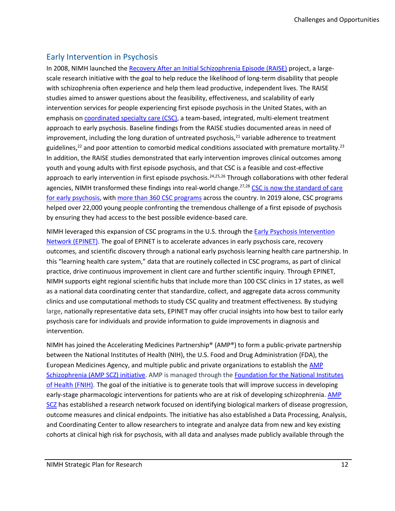#### <span id="page-14-0"></span>Early Intervention in Psychosis

In 2008, NIMH launched the [Recovery After an Initial Schizophrenia Episode \(RAISE\)](https://www.nimh.nih.gov/health/topics/schizophrenia/raise/index.shtml) project, a largescale research initiative with the goal to help reduce the likelihood of long-term disability that people with schizophrenia often experience and help them lead productive, independent lives. The RAISE studies aimed to answer questions about the feasibility, effectiveness, and scalability of early intervention services for people experiencing first episode psychosis in the United States, with an emphasis on [coordinated specialty care](https://www.nimh.nih.gov/health/topics/schizophrenia/raise/what-is-coordinated-specialty-care-csc) (CSC), a team-based, integrated, multi-element treatment approach to early psychosis. Baseline findings from the RAISE studies documented areas in need of improvement, including the long duration of untreated psychosis, $^{21}$  variable adherence to treatment guidelines,<sup>22</sup> and poor attention to comorbid medical conditions associated with premature mortality.<sup>23</sup> In addition, the RAISE studies demonstrated that early intervention improves clinical outcomes among youth and young adults with first episode psychosis, and that CSC is a feasible and cost-effective approach to early intervention in first episode psychosis.<sup>24,25,26</sup> Through collaborations with other federal agencies, NIMH transformed these findings into real-world change.<sup>27,28</sup> CSC is now the standard of care [for early psychosis,](https://www.psychiatry.org/newsroom/news-releases/apa-releases-new-practice-guideline-on-treatment-of-patients-with-schizophrenia) with more than [360 CSC programs](https://trumpadministration.archives.performance.gov/health_and_human_services/2019_dec_HHS_Serious_Mental_Illness.pdf) across the country. In 2019 alone, CSC programs helped over 22,000 young people confronting the tremendous challenge of a first episode of psychosis by ensuring they had access to the best possible evidence-based care.

NIMH leveraged this expansion of CSC programs in the U.S. through the [Early Psychosis Intervention](https://www.nimh.nih.gov/news/research-highlights/2021/nih-initiative-expands-access-to-resources-for-early-psychosis-treatment-and-research)  [Network \(EPINET\).](https://www.nimh.nih.gov/news/research-highlights/2021/nih-initiative-expands-access-to-resources-for-early-psychosis-treatment-and-research) The goal of EPINET is to accelerate advances in early psychosis care, recovery outcomes, and scientific discovery through a national early psychosis learning health care partnership. In this "learning health care system," data that are routinely collected in CSC programs, as part of clinical practice, drive continuous improvement in client care and further scientific inquiry. Through EPINET, NIMH supports eight regional scientific hubs that include more than 100 CSC clinics in 17 states, as well as a national data coordinating center that standardize, collect, and aggregate data across community clinics and use computational methods to study CSC quality and treatment effectiveness. By studying large, nationally representative data sets, EPINET may offer crucial insights into how best to tailor early psychosis care for individuals and provide information to guide improvements in diagnosis and intervention.

NIMH has joined the Accelerating Medicines Partnership® (AMP®) to form a public-private partnership between the National Institutes of Health (NIH), the U.S. Food and Drug Administration (FDA), the European Medicines Agency, and multiple public and private organizations to establish th[e AMP](https://www.nimh.nih.gov/research/research-funded-by-nimh/research-initiatives/accelerating-medicines-partnership-schizophrenia-amp-scz.shtml)  [Schizophrenia \(AMP SCZ\) initiative.](https://www.nimh.nih.gov/research/research-funded-by-nimh/research-initiatives/accelerating-medicines-partnership-schizophrenia-amp-scz.shtml) AMP is managed through th[e Foundation for the National Institutes](https://fnih.org/our-programs/AMP/schizophrenia)  [of Health \(FNIH\).](https://fnih.org/our-programs/AMP/schizophrenia) The goal of the initiative is to generate tools that will improve success in developing early-stage pharmacologic interventions for patients who are at risk of developing schizophrenia. [AMP](https://www.ampscz.org/)  [SCZ](https://www.ampscz.org/) has established a research network focused on identifying biological markers of disease progression, outcome measures and clinical endpoints. The initiative has also established a Data Processing, Analysis, and Coordinating Center to allow researchers to integrate and analyze data from new and key existing cohorts at clinical high risk for psychosis, with all data and analyses made publicly available through the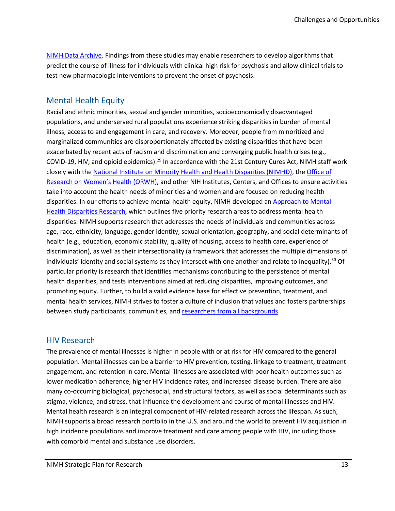[NIMH Data Archive.](https://nda.nih.gov/ampscz) Findings from these studies may enable researchers to develop algorithms that predict the course of illness for individuals with clinical high risk for psychosis and allow clinical trials to test new pharmacologic interventions to prevent the onset of psychosis.

#### <span id="page-15-0"></span>Mental Health Equity

Racial and ethnic minorities, sexual and gender minorities, socioeconomically disadvantaged populations, and underserved rural populations experience striking disparities in burden of mental illness, access to and engagement in care, and recovery. Moreover, people from minoritized and marginalized communities are disproportionately affected by existing disparities that have been exacerbated by recent acts of racism and discrimination and converging public health crises (e.g., COVID-19, HIV, and opioid epidemics).<sup>29</sup> In accordance with the 21st Century Cures Act, NIMH staff work closely with th[e National Institute on Minority Health and Health Disparities \(NIMHD\),](https://www.nimhd.nih.gov/) th[e Office of](https://orwh.od.nih.gov/)  [Research on Women's Health \(ORWH\)](https://orwh.od.nih.gov/), and other NIH Institutes, Centers, and Offices to ensure activities take into account the health needs of minorities and women and are focused on reducing health disparities. In our efforts to achieve mental health equity, NIMH developed an Approach to Mental [Health Disparities Research,](https://www.nimh.nih.gov/about/organization/od/odwd/nimhs-approach-to-mental-health-disparities-research) which outlines five priority research areas to address mental health disparities. NIMH supports research that addresses the needs of individuals and communities across age, race, ethnicity, language, gender identity, sexual orientation, geography, and social determinants of health (e.g., education, economic stability, quality of housing, access to health care, experience of discrimination), as well as their intersectionality (a framework that addresses the multiple dimensions of individuals' identity and social systems as they intersect with one another and relate to inequality). <sup>30</sup> Of particular priority is research that identifies mechanisms contributing to the persistence of mental health disparities, and tests interventions aimed at reducing disparities, improving outcomes, and promoting equity. Further, to build a valid evidence base for effective prevention, treatment, and mental health services, NIMH strives to foster a culture of inclusion that values and fosters partnerships between study participants, communities, and [researchers from all backgrounds.](https://www.nimh.nih.gov/about/organization/od/odwd/research-workforce-diversity-program.shtml)

#### <span id="page-15-1"></span>HIV Research

The prevalence of mental illnesses is higher in people with or at risk for HIV compared to the general population. Mental illnesses can be a barrier to HIV prevention, testing, linkage to treatment, treatment engagement, and retention in care. Mental illnesses are associated with poor health outcomes such as lower medication adherence, higher HIV incidence rates, and increased disease burden. There are also many co-occurring biological, psychosocial, and structural factors, as well as social determinants such as stigma, violence, and stress, that influence the development and course of mental illnesses and HIV. Mental health research is an integral component of HIV-related research across the lifespan. As such, NIMH supports a broad research portfolio in the U.S. and around the world to prevent HIV acquisition in high incidence populations and improve treatment and care among people with HIV, including those with comorbid mental and substance use disorders.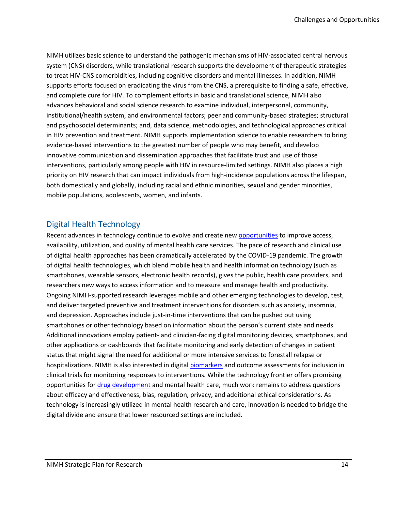NIMH utilizes basic science to understand the pathogenic mechanisms of HIV-associated central nervous system (CNS) disorders, while translational research supports the development of therapeutic strategies to treat HIV-CNS comorbidities, including cognitive disorders and mental illnesses. In addition, NIMH supports efforts focused on eradicating the virus from the CNS, a prerequisite to finding a safe, effective, and complete cure for HIV. To complement efforts in basic and translational science, NIMH also advances behavioral and social science research to examine individual, interpersonal, community, institutional/health system, and environmental factors; peer and community-based strategies; structural and psychosocial determinants; and, data science, methodologies, and technological approaches critical in HIV prevention and treatment. NIMH supports implementation science to enable researchers to bring evidence-based interventions to the greatest number of people who may benefit, and develop innovative communication and dissemination approaches that facilitate trust and use of those interventions, particularly among people with HIV in resource-limited settings. NIMH also places a high priority on HIV research that can impact individuals from high-incidence populations across the lifespan, both domestically and globally, including racial and ethnic minorities, sexual and gender minorities, mobile populations, adolescents, women, and infants.

#### <span id="page-16-0"></span>Digital Health Technology

Recent advances in technology continue to evolve and create new [opportunities](https://www.nimh.nih.gov/about/advisory-boards-and-groups/namhc/reports/opportunities-and-challenges-of-developing-information-technologies-on-behavioral-and-social-science-clinical-research.shtml) to improve access, availability, utilization, and quality of mental health care services. The pace of research and clinical use of digital health approaches has been dramatically accelerated by the COVID-19 pandemic. The growth of digital health technologies, which blend mobile health and health information technology (such as smartphones, wearable sensors, electronic health records), gives the public, health care providers, and researchers new ways to access information and to measure and manage health and productivity. Ongoing NIMH-supported research leverages mobile and other emerging technologies to develop, test, and deliver targeted preventive and treatment interventions for disorders such as anxiety, insomnia, and depression. Approaches include just-in-time interventions that can be pushed out using smartphones or other technology based on information about the person's current state and needs. Additional innovations employ patient- and clinician-facing digital monitoring devices, smartphones, and other applications or dashboards that facilitate monitoring and early detection of changes in patient status that might signal the need for additional or more intensive services to forestall relapse or hospitalizations. NIMH is also interested in digita[l biomarkers](https://fnih.org/our-programs/biomarkers-consortium/digitalmonitoring) and outcome assessments for inclusion in clinical trials for monitoring responses to interventions. While the technology frontier offers promising opportunities fo[r drug development](https://www.nationalacademies.org/our-work/the-role-of-digital-health-technologies-in-drug-development-a-workshop) and mental health care, much work remains to address questions about efficacy and effectiveness, bias, regulation, privacy, and additional ethical considerations. As technology is increasingly utilized in mental health research and care, innovation is needed to bridge the digital divide and ensure that lower resourced settings are included.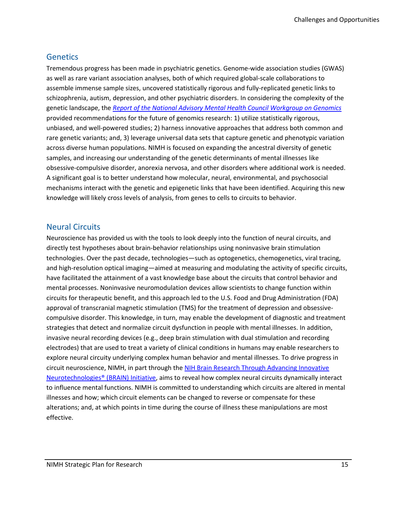#### <span id="page-17-0"></span>**Genetics**

Tremendous progress has been made in psychiatric genetics. Genome-wide association studies (GWAS) as well as rare variant association analyses, both of which required global-scale collaborations to assemble immense sample sizes, uncovered statistically rigorous and fully-replicated genetic links to schizophrenia, autism, depression, and other psychiatric disorders. In considering the complexity of the genetic landscape, the *[Report of the National Advisory Mental Health Council Workgroup on Genomics](https://www.nimh.nih.gov/about/advisory-boards-and-groups/namhc/reports/report-of-the-national-advisory-mental-health-council-workgroup-on-genomics.shtml)* provided recommendations for the future of genomics research: 1) utilize statistically rigorous, unbiased, and well-powered studies; 2) harness innovative approaches that address both common and rare genetic variants; and, 3) leverage universal data sets that capture genetic and phenotypic variation across diverse human populations. NIMH is focused on expanding the ancestral diversity of genetic samples, and increasing our understanding of the genetic determinants of mental illnesses like obsessive-compulsive disorder, anorexia nervosa, and other disorders where additional work is needed. A significant goal is to better understand how molecular, neural, environmental, and psychosocial mechanisms interact with the genetic and epigenetic links that have been identified. Acquiring this new knowledge will likely cross levels of analysis, from genes to cells to circuits to behavior.

#### <span id="page-17-1"></span>Neural Circuits

Neuroscience has provided us with the tools to look deeply into the function of neural circuits, and directly test hypotheses about brain-behavior relationships using noninvasive brain stimulation technologies. Over the past decade, technologies—such as optogenetics, chemogenetics, viral tracing, and high-resolution optical imaging—aimed at measuring and modulating the activity of specific circuits, have facilitated the attainment of a vast knowledge base about the circuits that control behavior and mental processes. Noninvasive neuromodulation devices allow scientists to change function within circuits for therapeutic benefit, and this approach led to the U.S. Food and Drug Administration (FDA) approval of transcranial magnetic stimulation (TMS) for the treatment of depression and obsessivecompulsive disorder. This knowledge, in turn, may enable the development of diagnostic and treatment strategies that detect and normalize circuit dysfunction in people with mental illnesses. In addition, invasive neural recording devices (e.g., deep brain stimulation with dual stimulation and recording electrodes) that are used to treat a variety of clinical conditions in humans may enable researchers to explore neural circuity underlying complex human behavior and mental illnesses. To drive progress in circuit neuroscience, NIMH, in part through the [NIH Brain Research Through Advancing Innovative](https://braininitiative.nih.gov/)  [Neurotechnologies® \(BRAIN\) Initiative,](https://braininitiative.nih.gov/) aims to reveal how complex neural circuits dynamically interact to influence mental functions. NIMH is committed to understanding which circuits are altered in mental illnesses and how; which circuit elements can be changed to reverse or compensate for these alterations; and, at which points in time during the course of illness these manipulations are most effective.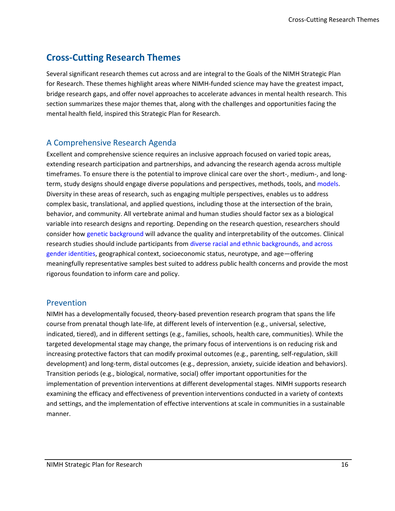### <span id="page-18-0"></span>**Cross-Cutting Research Themes**

Several significant research themes cut across and are integral to the Goals of the NIMH Strategic Plan for Research. These themes highlight areas where NIMH-funded science may have the greatest impact, bridge research gaps, and offer novel approaches to accelerate advances in mental health research. This section summarizes these major themes that, along with the challenges and opportunities facing the mental health field, inspired this Strategic Plan for Research.

#### <span id="page-18-1"></span>A Comprehensive Research Agenda

Excellent and comprehensive science requires an inclusive approach focused on varied topic areas, extending research participation and partnerships, and advancing the research agenda across multiple timeframes. To ensure there is the potential to improve clinical care over the short-, medium-, and longterm, study designs should engage diverse populations and perspectives, methods, tools, and [models.](https://www.nimh.nih.gov/about/director/messages/2019/what-can-animals-tell-us-about-mental-illnesses) Diversity in these areas of research, such as engaging multiple perspectives, enables us to address complex basic, translational, and applied questions, including those at the intersection of the brain, behavior, and community. All vertebrate animal and human studies should factor sex as a biological variable into research designs and reporting. Depending on the research question, researchers should consider ho[w genetic background](https://www.nimh.nih.gov/about/director/messages/2018/towards-a-genomic-psychiatry-recommendations-of-the-genomics-workgroup-of-the-namhc) will advance the quality and interpretability of the outcomes. Clinical research studies should include participants from [diverse racial and ethnic backgrounds, and across](https://grants.nih.gov/grants/guide/notice-files/NOT-OD-18-014.html)  [gender identities,](https://grants.nih.gov/grants/guide/notice-files/NOT-OD-18-014.html) geographical context, socioeconomic status, neurotype, and age—offering meaningfully representative samples best suited to address public health concerns and provide the most rigorous foundation to inform care and policy.

#### <span id="page-18-2"></span>Prevention

NIMH has a developmentally focused, theory-based prevention research program that spans the life course from prenatal though late-life, at different levels of intervention (e.g., universal, selective, indicated, tiered), and in different settings (e.g., families, schools, health care, communities). While the targeted developmental stage may change, the primary focus of interventions is on reducing risk and increasing protective factors that can modify proximal outcomes (e.g., parenting, self-regulation, skill development) and long-term, distal outcomes (e.g., depression, anxiety, suicide ideation and behaviors). Transition periods (e.g., biological, normative, social) offer important opportunities for the implementation of prevention interventions at different developmental stages. NIMH supports research examining the efficacy and effectiveness of prevention interventions conducted in a variety of contexts and settings, and the implementation of effective interventions at scale in communities in a sustainable manner.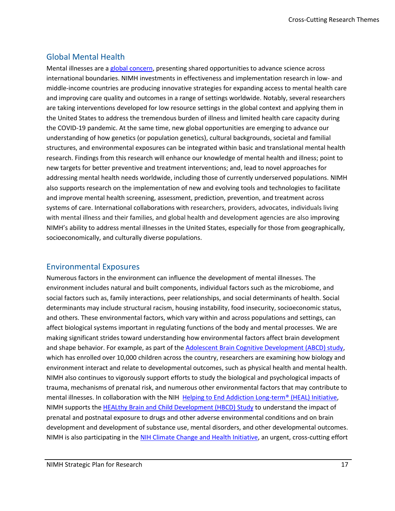#### <span id="page-19-0"></span>Global Mental Health

Mental illnesses are a [global concern,](https://www.nimh.nih.gov/about/organization/cgmhr/index.shtml) presenting shared opportunities to advance science across international boundaries. NIMH investments in effectiveness and implementation research in low- and middle-income countries are producing innovative strategies for expanding access to mental health care and improving care quality and outcomes in a range of settings worldwide. Notably, several researchers are taking interventions developed for low resource settings in the global context and applying them in the United States to address the tremendous burden of illness and limited health care capacity during the COVID-19 pandemic. At the same time, new global opportunities are emerging to advance our understanding of how genetics (or population genetics), cultural backgrounds, societal and familial structures, and environmental exposures can be integrated within basic and translational mental health research. Findings from this research will enhance our knowledge of mental health and illness; point to new targets for better preventive and treatment interventions; and, lead to novel approaches for addressing mental health needs worldwide, including those of currently underserved populations. NIMH also supports research on the implementation of new and evolving tools and technologies to facilitate and improve mental health screening, assessment, prediction, prevention, and treatment across systems of care. International collaborations with researchers, providers, advocates, individuals living with mental illness and their families, and global health and development agencies are also improving NIMH's ability to address mental illnesses in the United States, especially for those from geographically, socioeconomically, and culturally diverse populations.

#### <span id="page-19-1"></span>Environmental Exposures

Numerous factors in the environment can influence the development of mental illnesses. The environment includes natural and built components, individual factors such as the microbiome, and social factors such as, family interactions, peer relationships, and social determinants of health. Social determinants may include structural racism, housing instability, food insecurity, socioeconomic status, and others. These environmental factors, which vary within and across populations and settings, can affect biological systems important in regulating functions of the body and mental processes. We are making significant strides toward understanding how environmental factors affect brain development and shape behavior. For example, as part of the **Adolescent Brain Cognitive Development (ABCD)** study, which has enrolled over 10,000 children across the country, researchers are examining how biology and environment interact and relate to developmental outcomes, such as physical health and mental health. NIMH also continues to vigorously support efforts to study the biological and psychological impacts of trauma, mechanisms of prenatal risk, and numerous other environmental factors that may contribute to mental illnesses. In collaboration with the NIH [Helping to End Addiction Long-term®](https://heal.nih.gov/) (HEAL) Initiative, NIMH supports the [HEALthy Brain and Child Development \(HBCD\) Study](https://heal.nih.gov/research/infants-and-children/healthy-brain) to understand the impact of prenatal and postnatal exposure to drugs and other adverse environmental conditions and on brain development and development of substance use, mental disorders, and other developmental outcomes. NIMH is also participating in th[e NIH Climate Change and Health Initiative,](https://www.nih.gov/climateandhealth) an urgent, cross-cutting effort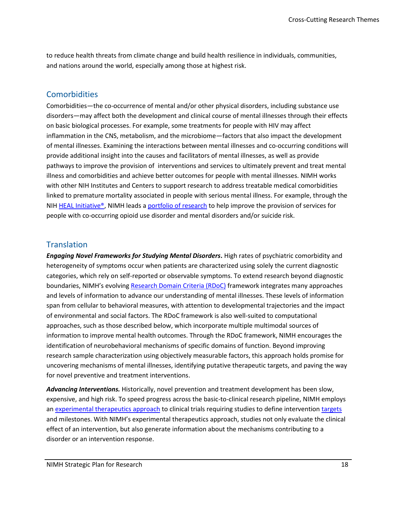to reduce health threats from climate change and build health resilience in individuals, communities, and nations around the world, especially among those at highest risk.

#### <span id="page-20-0"></span>**Comorbidities**

Comorbidities—the co-occurrence of mental and/or other physical disorders, including substance use disorders—may affect both the development and clinical course of mental illnesses through their effects on basic biological processes. For example, some treatments for people with HIV may affect inflammation in the CNS, metabolism, and the microbiome—factors that also impact the development of mental illnesses. Examining the interactions between mental illnesses and co-occurring conditions will provide additional insight into the causes and facilitators of mental illnesses, as well as provide pathways to improve the provision of interventions and services to ultimately prevent and treat mental illness and comorbidities and achieve better outcomes for people with mental illnesses. NIMH works with other NIH Institutes and Centers to support research to address treatable medical comorbidities linked to premature mortality associated in people with serious mental illness. For example, through the NIH [HEAL Initiative®,](https://heal.nih.gov/) NIMH leads a [portfolio of research](https://heal.nih.gov/research/new-strategies/optimizing-care) to help improve the provision of services for people with co-occurring opioid use disorder and mental disorders and/or suicide risk.

#### <span id="page-20-1"></span>**Translation**

*Engaging Novel Frameworks for Studying Mental Disorders***.** High rates of psychiatric comorbidity and heterogeneity of symptoms occur when patients are characterized using solely the current diagnostic categories, which rely on self-reported or observable symptoms. To extend research beyond diagnostic boundaries, NIMH's evolving [Research Domain Criteria \(RDoC\)](https://www.nimh.nih.gov/research/research-funded-by-nimh/rdoc/index.shtml) framework integrates many approaches and levels of information to advance our understanding of mental illnesses. These levels of information span from cellular to behavioral measures, with attention to developmental trajectories and the impact of environmental and social factors. The RDoC framework is also well-suited to computational approaches, such as those described below, which incorporate multiple multimodal sources of information to improve mental health outcomes. Through the RDoC framework, NIMH encourages the identification of neurobehavioral mechanisms of specific domains of function. Beyond improving research sample characterization using objectively measurable factors, this approach holds promise for uncovering mechanisms of mental illnesses, identifying putative therapeutic targets, and paving the way for novel preventive and treatment interventions.

*Advancing Interventions.* Historically, novel prevention and treatment development has been slow, expensive, and high risk. To speed progress across the basic-to-clinical research pipeline, NIMH employs a[n experimental therapeutics approach](https://www.nimh.nih.gov/funding/opportunities-announcements/clinical-trials-foas/index.shtml#faq) to clinical trials requiring studies to define intervention [targets](https://www.nimh.nih.gov/funding/opportunities-announcements/clinical-trials-foas/index.shtml#faq) and milestones. With NIMH's experimental therapeutics approach, studies not only evaluate the clinical effect of an intervention, but also generate information about the mechanisms contributing to a disorder or an intervention response.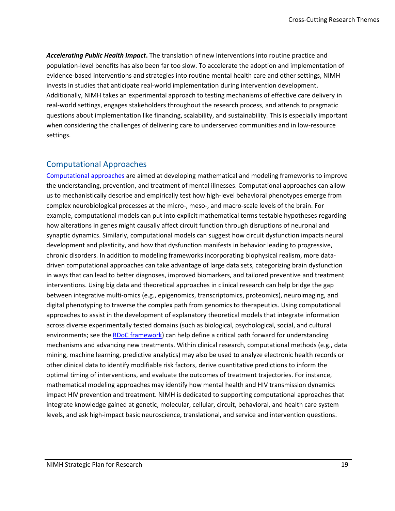*Accelerating Public Health Impact***.** The translation of new interventions into routine practice and population-level benefits has also been far too slow. To accelerate the adoption and implementation of evidence-based interventions and strategies into routine mental health care and other settings, NIMH invests in studies that anticipate real-world implementation during intervention development. Additionally, NIMH takes an experimental approach to testing mechanisms of effective care delivery in real-world settings, engages stakeholders throughout the research process, and attends to pragmatic questions about implementation like financing, scalability, and sustainability. This is especially important when considering the challenges of delivering care to underserved communities and in low-resource settings.

#### <span id="page-21-0"></span>Computational Approaches

[Computational approaches](https://www.ncbi.nlm.nih.gov/pmc/articles/PMC6756008/) are aimed at developing mathematical and modeling frameworks to improve the understanding, prevention, and treatment of mental illnesses. Computational approaches can allow us to mechanistically describe and empirically test how high-level behavioral phenotypes emerge from complex neurobiological processes at the micro-, meso-, and macro-scale levels of the brain. For example, computational models can put into explicit mathematical terms testable hypotheses regarding how alterations in genes might causally affect circuit function through disruptions of neuronal and synaptic dynamics. Similarly, computational models can suggest how circuit dysfunction impacts neural development and plasticity, and how that dysfunction manifests in behavior leading to progressive, chronic disorders. In addition to modeling frameworks incorporating biophysical realism, more datadriven computational approaches can take advantage of large data sets, categorizing brain dysfunction in ways that can lead to better diagnoses, improved biomarkers, and tailored preventive and treatment interventions. Using big data and theoretical approaches in clinical research can help bridge the gap between integrative multi-omics (e.g., epigenomics, transcriptomics, proteomics), neuroimaging, and digital phenotyping to traverse the complex path from genomics to therapeutics. Using computational approaches to assist in the development of explanatory theoretical models that integrate information across diverse experimentally tested domains (such as biological, psychological, social, and cultural environments; see the **RDoC** framework) can help define a critical path forward for understanding mechanisms and advancing new treatments. Within clinical research, computational methods (e.g., data mining, machine learning, predictive analytics) may also be used to analyze electronic health records or other clinical data to identify modifiable risk factors, derive quantitative predictions to inform the optimal timing of interventions, and evaluate the outcomes of treatment trajectories. For instance, mathematical modeling approaches may identify how mental health and HIV transmission dynamics impact HIV prevention and treatment. NIMH is dedicated to supporting computational approaches that integrate knowledge gained at genetic, molecular, cellular, circuit, behavioral, and health care system levels, and ask high-impact basic neuroscience, translational, and service and intervention questions.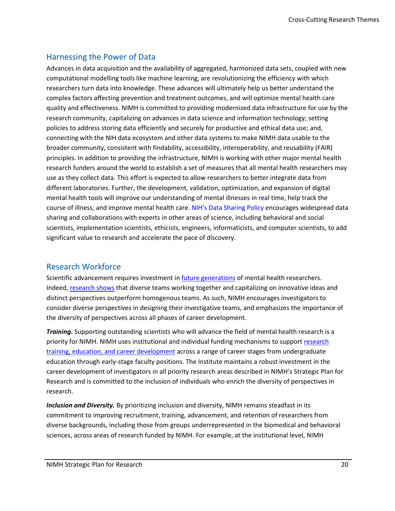#### <span id="page-22-0"></span>Harnessing the Power of Data

Advances in data acquisition and the availability of aggregated, harmonized data sets, coupled with new computational modelling tools like machine learning, are revolutionizing the efficiency with which researchers turn data into knowledge. These advances will ultimately help us better understand the complex factors affecting prevention and treatment outcomes, and will optimize mental health care quality and effectiveness. NIMH is committed to providing modernized data infrastructure for use by the research community, capitalizing on advances in data science and information technology; setting policies to address storing data efficiently and securely for productive and ethical data use; and, connecting with the NIH data ecosystem and other data systems to make NIMH data usable to the broader community, consistent with findability, accessibility, interoperability, and reusability (FAIR) principles. In addition to providing the infrastructure, NIMH is working with other major mental health research funders around the world to establish a set of measures that all mental health researchers may use as they collect data. This effort is expected to allow researchers to better integrate data from different laboratories. Further, the development, validation, optimization, and expansion of digital mental health tools will improve our understanding of mental illnesses in real time, help track the course of illness, and improve mental health care. NIH['s Data Sharing Policy](https://grants.nih.gov/grants/guide/notice-files/NOT-OD-03-032.html) encourages widespread data sharing and collaborations with experts in other areas of science, including behavioral and social scientists, implementation scientists, ethicists, engineers, informaticists, and computer scientists, to add significant value to research and accelerate the pace of discovery.

#### <span id="page-22-1"></span>Research Workforce

Scientific advancement requires investment in *future generations* of mental health researchers. Indeed, [research shows](https://grants.nih.gov/grants/guide/notice-files/NOT-OD-20-031.html) that diverse teams working together and capitalizing on innovative ideas and distinct perspectives outperform homogenous teams. As such, NIMH encourages investigators to consider diverse perspectives in designing their investigative teams, and emphasizes the importance of the diversity of perspectives across all phases of career development.

*Training.* Supporting outstanding scientists who will advance the field of mental health research is a priority for NIMH. NIMH uses institutional and individual funding mechanisms to support [research](https://www.nimh.nih.gov/funding/training/index.shtml)  [training, education, and career development](https://www.nimh.nih.gov/funding/training/index.shtml) across a range of career stages from undergraduate education through early-stage faculty positions. The Institute maintains a robust investment in the career development of investigators in all priority research areas described in NIMH's Strategic Plan for Research and is committed to the inclusion of individuals who enrich the diversity of perspectives in research.

*Inclusion and Diversity.* By prioritizing inclusion and diversity, NIMH remains steadfast in its commitment to improving recruitment, training, advancement, and retention of researchers from diverse backgrounds, including those from groups underrepresented in the biomedical and behavioral sciences, across areas of research funded by NIMH. For example, at the institutional level, NIMH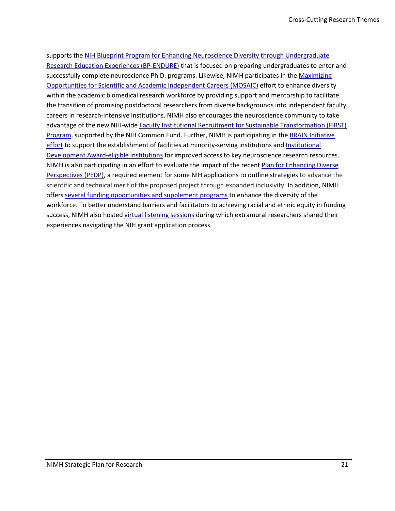supports the [NIH Blueprint Program for Enhancing Neuroscience Diversity through Undergraduate](https://neuroscienceblueprint.nih.gov/endure-undergraduate-education)  [Research Education Experiences \(BP-ENDURE\)](https://neuroscienceblueprint.nih.gov/endure-undergraduate-education) that is focused on preparing undergraduates to enter and successfully complete neuroscience Ph.D. programs. Likewise, NIMH participates in the Maximizing [Opportunities for Scientific and Academic Independent Careers \(MOSAIC\)](https://www.nigms.nih.gov/training/careerdev/Pages/MOSAIC.aspx) effort to enhance diversity within the academic biomedical research workforce by providing support and mentorship to facilitate the transition of promising postdoctoral researchers from diverse backgrounds into independent faculty careers in research-intensive institutions. NIMH also encourages the neuroscience community to take advantage of the new NIH-wide [Faculty Institutional Recruitment for Sustainable Transformation \(FIRST\)](https://commonfund.nih.gov/first)  [Program,](https://commonfund.nih.gov/first) supported by the NIH Common Fund. Further, NIMH is participating in the [BRAIN Initiative](https://braininitiative.nih.gov/funding-opportunies/brain-initiative-reagent-resources-brain-cell-type-specific-access-and-0) [effort](https://braininitiative.nih.gov/funding-opportunies/brain-initiative-reagent-resources-brain-cell-type-specific-access-and-0) to support the establishment of facilities at minority-serving institutions and Institutional [Development Award-eligible institutions](https://www.nigms.nih.gov/Research/DRCB/IDeA/Pages/default.aspx) for improved access to key neuroscience research resources. NIMH is also participating in an effort to evaluate the impact of the recent Plan for Enhancing Diverse [Perspectives \(PEDP\),](https://braininitiative.nih.gov/about/plan-enhancing-diverse-perspectives-pedp) a required element for some NIH applications to outline strategies to advance the scientific and technical merit of the proposed project through expanded inclusivity. In addition, NIMH offer[s several funding opportunities and supplement programs](https://www.nimh.nih.gov/funding/training/programs-to-enhance-workforce-diversity.shtml) to enhance the diversity of the workforce. To better understand barriers and facilitators to achieving racial and ethnic equity in funding success, NIMH also hosted [virtual listening sessions](https://www.nimh.nih.gov/news/events/announcements/extramural-research-community-listening-session-town-hall) during which extramural researchers shared their experiences navigating the NIH grant application process.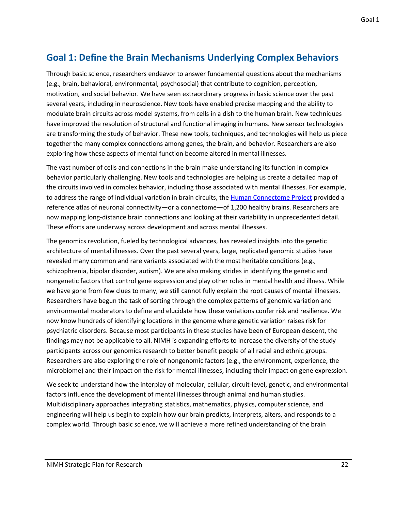### <span id="page-24-0"></span>**Goal 1: Define the Brain Mechanisms Underlying Complex Behaviors**

Through basic science, researchers endeavor to answer fundamental questions about the mechanisms (e.g., brain, behavioral, environmental, psychosocial) that contribute to cognition, perception, motivation, and social behavior. We have seen extraordinary progress in basic science over the past several years, including in neuroscience. New tools have enabled precise mapping and the ability to modulate brain circuits across model systems, from cells in a dish to the human brain. New techniques have improved the resolution of structural and functional imaging in humans. New sensor technologies are transforming the study of behavior. These new tools, techniques, and technologies will help us piece together the many complex connections among genes, the brain, and behavior. Researchers are also exploring how these aspects of mental function become altered in mental illnesses.

The vast number of cells and connections in the brain make understanding its function in complex behavior particularly challenging. New tools and technologies are helping us create a detailed map of the circuits involved in complex behavior, including those associated with mental illnesses. For example, to address the range of individual variation in brain circuits, th[e Human Connectome Project](https://neuroscienceblueprint.nih.gov/human-connectome/connectome-programs) provided a reference atlas of neuronal connectivity—or a connectome—of 1,200 healthy brains. Researchers are now mapping long-distance brain connections and looking at their variability in unprecedented detail. These efforts are underway across development and across mental illnesses.

The genomics revolution, fueled by technological advances, has revealed insights into the genetic architecture of mental illnesses. Over the past several years, large, replicated genomic studies have revealed many common and rare variants associated with the most heritable conditions (e.g., schizophrenia, bipolar disorder, autism). We are also making strides in identifying the genetic and nongenetic factors that control gene expression and play other roles in mental health and illness. While we have gone from few clues to many, we still cannot fully explain the root causes of mental illnesses. Researchers have begun the task of sorting through the complex patterns of genomic variation and environmental moderators to define and elucidate how these variations confer risk and resilience. We now know hundreds of identifying locations in the genome where genetic variation raises risk for psychiatric disorders. Because most participants in these studies have been of European descent, the findings may not be applicable to all. NIMH is expanding efforts to increase the diversity of the study participants across our genomics research to better benefit people of all racial and ethnic groups. Researchers are also exploring the role of nongenomic factors (e.g., the environment, experience, the microbiome) and their impact on the risk for mental illnesses, including their impact on gene expression.

We seek to understand how the interplay of molecular, cellular, circuit-level, genetic, and environmental factors influence the development of mental illnesses through animal and human studies. Multidisciplinary approaches integrating statistics, mathematics, physics, computer science, and engineering will help us begin to explain how our brain predicts, interprets, alters, and responds to a complex world. Through basic science, we will achieve a more refined understanding of the brain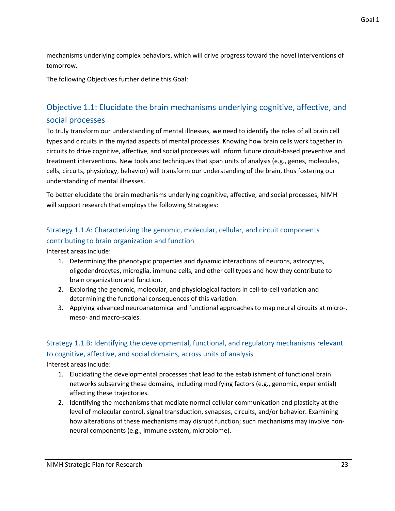mechanisms underlying complex behaviors, which will drive progress toward the novel interventions of tomorrow.

The following Objectives further define this Goal:

### <span id="page-25-0"></span>Objective 1.1: Elucidate the brain mechanisms underlying cognitive, affective, and social processes

To truly transform our understanding of mental illnesses, we need to identify the roles of all brain cell types and circuits in the myriad aspects of mental processes. Knowing how brain cells work together in circuits to drive cognitive, affective, and social processes will inform future circuit-based preventive and treatment interventions. New tools and techniques that span units of analysis (e.g., genes, molecules, cells, circuits, physiology, behavior) will transform our understanding of the brain, thus fostering our understanding of mental illnesses.

To better elucidate the brain mechanisms underlying cognitive, affective, and social processes, NIMH will support research that employs the following Strategies:

### Strategy 1.1.A: Characterizing the genomic, molecular, cellular, and circuit components contributing to brain organization and function

Interest areas include:

- 1. Determining the phenotypic properties and dynamic interactions of neurons, astrocytes, oligodendrocytes, microglia, immune cells, and other cell types and how they contribute to brain organization and function.
- 2. Exploring the genomic, molecular, and physiological factors in cell-to-cell variation and determining the functional consequences of this variation.
- 3. Applying advanced neuroanatomical and functional approaches to map neural circuits at micro-, meso- and macro-scales.

### Strategy 1.1.B: Identifying the developmental, functional, and regulatory mechanisms relevant to cognitive, affective, and social domains, across units of analysis

- 1. Elucidating the developmental processes that lead to the establishment of functional brain networks subserving these domains, including modifying factors (e.g., genomic, experiential) affecting these trajectories.
- 2. Identifying the mechanisms that mediate normal cellular communication and plasticity at the level of molecular control, signal transduction, synapses, circuits, and/or behavior. Examining how alterations of these mechanisms may disrupt function; such mechanisms may involve nonneural components (e.g., immune system, microbiome).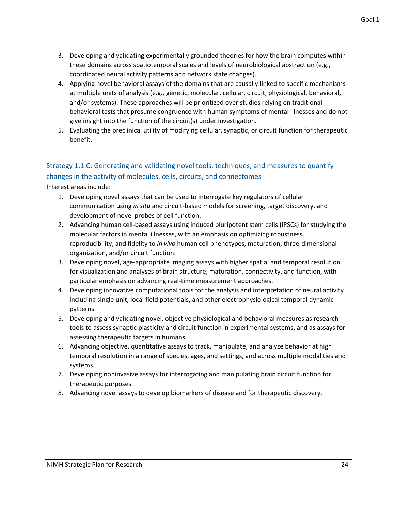- 3. Developing and validating experimentally grounded theories for how the brain computes within these domains across spatiotemporal scales and levels of neurobiological abstraction (e.g., coordinated neural activity patterns and network state changes).
- 4. Applying novel behavioral assays of the domains that are causally linked to specific mechanisms at multiple units of analysis (e.g., genetic, molecular, cellular, circuit, physiological, behavioral, and/or systems). These approaches will be prioritized over studies relying on traditional behavioral tests that presume congruence with human symptoms of mental illnesses and do not give insight into the function of the circuit(s) under investigation.
- 5. Evaluating the preclinical utility of modifying cellular, synaptic, or circuit function for therapeutic benefit.

#### Strategy 1.1.C: Generating and validating novel tools, techniques, and measures to quantify changes in the activity of molecules, cells, circuits, and connectomes

- 1. Developing novel assays that can be used to interrogate key regulators of cellular communication using *in situ* and circuit-based models for screening, target discovery, and development of novel probes of cell function.
- 2. Advancing human cell-based assays using induced pluripotent stem cells (iPSCs) for studying the molecular factors in mental illnesses, with an emphasis on optimizing robustness, reproducibility, and fidelity to *in vivo* human cell phenotypes, maturation, three-dimensional organization, and/or circuit function.
- 3. Developing novel, age-appropriate imaging assays with higher spatial and temporal resolution for visualization and analyses of brain structure, maturation, connectivity, and function, with particular emphasis on advancing real-time measurement approaches.
- 4. Developing innovative computational tools for the analysis and interpretation of neural activity including single unit, local field potentials, and other electrophysiological temporal dynamic patterns.
- 5. Developing and validating novel, objective physiological and behavioral measures as research tools to assess synaptic plasticity and circuit function in experimental systems, and as assays for assessing therapeutic targets in humans.
- 6. Advancing objective, quantitative assays to track, manipulate, and analyze behavior at high temporal resolution in a range of species, ages, and settings, and across multiple modalities and systems.
- 7. Developing noninvasive assays for interrogating and manipulating brain circuit function for therapeutic purposes.
- 8. Advancing novel assays to develop biomarkers of disease and for therapeutic discovery.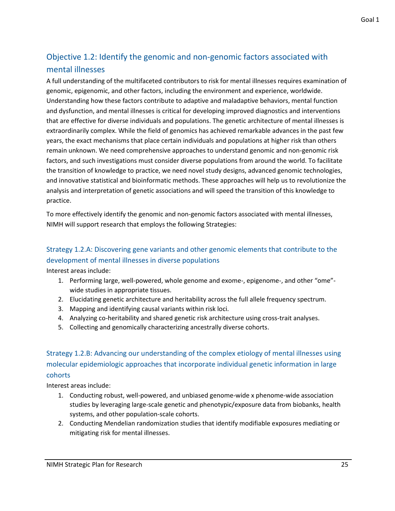### <span id="page-27-0"></span>Objective 1.2: Identify the genomic and non-genomic factors associated with mental illnesses

A full understanding of the multifaceted contributors to risk for mental illnesses requires examination of genomic, epigenomic, and other factors, including the environment and experience, worldwide. Understanding how these factors contribute to adaptive and maladaptive behaviors, mental function and dysfunction, and mental illnesses is critical for developing improved diagnostics and interventions that are effective for diverse individuals and populations. The genetic architecture of mental illnesses is extraordinarily complex. While the field of genomics has achieved remarkable advances in the past few years, the exact mechanisms that place certain individuals and populations at higher risk than others remain unknown. We need comprehensive approaches to understand genomic and non-genomic risk factors, and such investigations must consider diverse populations from around the world. To facilitate the transition of knowledge to practice, we need novel study designs, advanced genomic technologies, and innovative statistical and bioinformatic methods. These approaches will help us to revolutionize the analysis and interpretation of genetic associations and will speed the transition of this knowledge to practice.

To more effectively identify the genomic and non-genomic factors associated with mental illnesses, NIMH will support research that employs the following Strategies:

#### Strategy 1.2.A: Discovering gene variants and other genomic elements that contribute to the development of mental illnesses in diverse populations

Interest areas include:

- 1. Performing large, well-powered, whole genome and exome-, epigenome-, and other "ome" wide studies in appropriate tissues.
- 2. Elucidating genetic architecture and heritability across the full allele frequency spectrum.
- 3. Mapping and identifying causal variants within risk loci.
- 4. Analyzing co-heritability and shared genetic risk architecture using cross-trait analyses.
- 5. Collecting and genomically characterizing ancestrally diverse cohorts.

#### Strategy 1.2.B: Advancing our understanding of the complex etiology of mental illnesses using molecular epidemiologic approaches that incorporate individual genetic information in large cohorts

- 1. Conducting robust, well-powered, and unbiased genome-wide x phenome-wide association studies by leveraging large-scale genetic and phenotypic/exposure data from biobanks, health systems, and other population-scale cohorts.
- 2. Conducting Mendelian randomization studies that identify modifiable exposures mediating or mitigating risk for mental illnesses.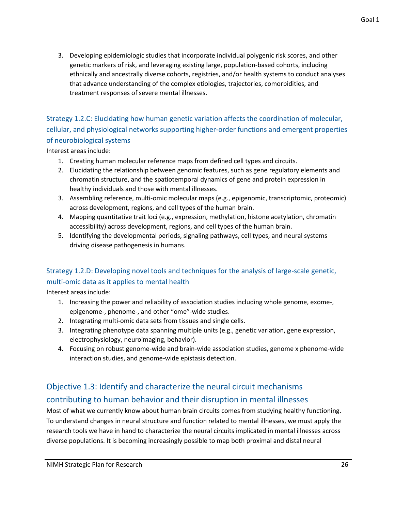3. Developing epidemiologic studies that incorporate individual polygenic risk scores, and other genetic markers of risk, and leveraging existing large, population-based cohorts, including ethnically and ancestrally diverse cohorts, registries, and/or health systems to conduct analyses that advance understanding of the complex etiologies, trajectories, comorbidities, and treatment responses of severe mental illnesses.

Strategy 1.2.C: Elucidating how human genetic variation affects the coordination of molecular, cellular, and physiological networks supporting higher-order functions and emergent properties of neurobiological systems

Interest areas include:

- 1. Creating human molecular reference maps from defined cell types and circuits.
- 2. Elucidating the relationship between genomic features, such as gene regulatory elements and chromatin structure, and the spatiotemporal dynamics of gene and protein expression in healthy individuals and those with mental illnesses.
- 3. Assembling reference, multi-omic molecular maps (e.g., epigenomic, transcriptomic, proteomic) across development, regions, and cell types of the human brain.
- 4. Mapping quantitative trait loci (e.g., expression, methylation, histone acetylation, chromatin accessibility) across development, regions, and cell types of the human brain.
- 5. Identifying the developmental periods, signaling pathways, cell types, and neural systems driving disease pathogenesis in humans.

#### Strategy 1.2.D: Developing novel tools and techniques for the analysis of large-scale genetic, multi-omic data as it applies to mental health

Interest areas include:

- 1. Increasing the power and reliability of association studies including whole genome, exome-, epigenome-, phenome-, and other "ome"-wide studies.
- 2. Integrating multi-omic data sets from tissues and single cells.
- 3. Integrating phenotype data spanning multiple units (e.g., genetic variation, gene expression, electrophysiology, neuroimaging, behavior).
- 4. Focusing on robust genome-wide and brain-wide association studies, genome x phenome-wide interaction studies, and genome-wide epistasis detection.

### <span id="page-28-0"></span>Objective 1.3: Identify and characterize the neural circuit mechanisms contributing to human behavior and their disruption in mental illnesses

Most of what we currently know about human brain circuits comes from studying healthy functioning. To understand changes in neural structure and function related to mental illnesses, we must apply the research tools we have in hand to characterize the neural circuits implicated in mental illnesses across diverse populations. It is becoming increasingly possible to map both proximal and distal neural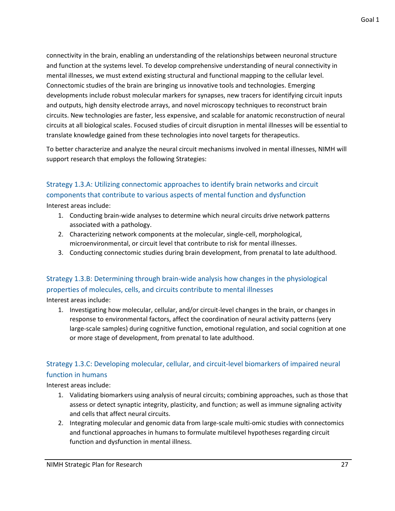connectivity in the brain, enabling an understanding of the relationships between neuronal structure and function at the systems level. To develop comprehensive understanding of neural connectivity in mental illnesses, we must extend existing structural and functional mapping to the cellular level. Connectomic studies of the brain are bringing us innovative tools and technologies. Emerging developments include robust molecular markers for synapses, new tracers for identifying circuit inputs and outputs, high density electrode arrays, and novel microscopy techniques to reconstruct brain circuits. New technologies are faster, less expensive, and scalable for anatomic reconstruction of neural circuits at all biological scales. Focused studies of circuit disruption in mental illnesses will be essential to translate knowledge gained from these technologies into novel targets for therapeutics.

To better characterize and analyze the neural circuit mechanisms involved in mental illnesses, NIMH will support research that employs the following Strategies:

### Strategy 1.3.A: Utilizing connectomic approaches to identify brain networks and circuit components that contribute to various aspects of mental function and dysfunction

Interest areas include:

- 1. Conducting brain-wide analyses to determine which neural circuits drive network patterns associated with a pathology.
- 2. Characterizing network components at the molecular, single-cell, morphological, microenvironmental, or circuit level that contribute to risk for mental illnesses.
- 3. Conducting connectomic studies during brain development, from prenatal to late adulthood.

#### Strategy 1.3.B: Determining through brain-wide analysis how changes in the physiological properties of molecules, cells, and circuits contribute to mental illnesses

Interest areas include:

1. Investigating how molecular, cellular, and/or circuit-level changes in the brain, or changes in response to environmental factors, affect the coordination of neural activity patterns (very large-scale samples) during cognitive function, emotional regulation, and social cognition at one or more stage of development, from prenatal to late adulthood.

#### Strategy 1.3.C: Developing molecular, cellular, and circuit-level biomarkers of impaired neural function in humans

- 1. Validating biomarkers using analysis of neural circuits; combining approaches, such as those that assess or detect synaptic integrity, plasticity, and function; as well as immune signaling activity and cells that affect neural circuits.
- 2. Integrating molecular and genomic data from large-scale multi-omic studies with connectomics and functional approaches in humans to formulate multilevel hypotheses regarding circuit function and dysfunction in mental illness.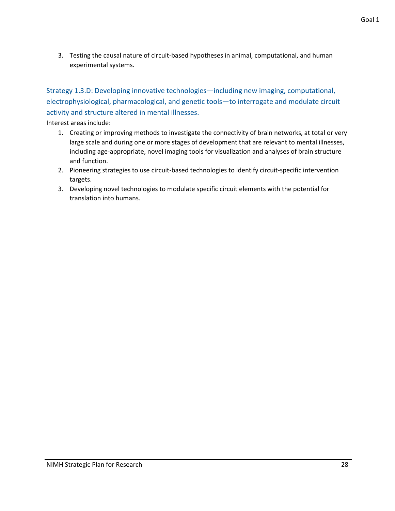3. Testing the causal nature of circuit-based hypotheses in animal, computational, and human experimental systems.

Strategy 1.3.D: Developing innovative technologies—including new imaging, computational, electrophysiological, pharmacological, and genetic tools—to interrogate and modulate circuit activity and structure altered in mental illnesses.

- 1. Creating or improving methods to investigate the connectivity of brain networks, at total or very large scale and during one or more stages of development that are relevant to mental illnesses, including age-appropriate, novel imaging tools for visualization and analyses of brain structure and function.
- 2. Pioneering strategies to use circuit-based technologies to identify circuit-specific intervention targets.
- 3. Developing novel technologies to modulate specific circuit elements with the potential for translation into humans.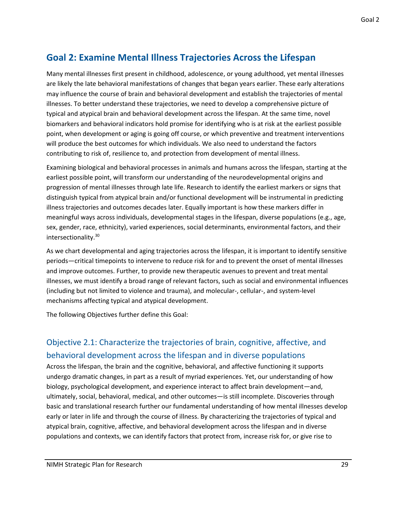Goal 2

### <span id="page-31-0"></span>**Goal 2: Examine Mental Illness Trajectories Across the Lifespan**

Many mental illnesses first present in childhood, adolescence, or young adulthood, yet mental illnesses are likely the late behavioral manifestations of changes that began years earlier. These early alterations may influence the course of brain and behavioral development and establish the trajectories of mental illnesses. To better understand these trajectories, we need to develop a comprehensive picture of typical and atypical brain and behavioral development across the lifespan. At the same time, novel biomarkers and behavioral indicators hold promise for identifying who is at risk at the earliest possible point, when development or aging is going off course, or which preventive and treatment interventions will produce the best outcomes for which individuals. We also need to understand the factors contributing to risk of, resilience to, and protection from development of mental illness.

Examining biological and behavioral processes in animals and humans across the lifespan, starting at the earliest possible point, will transform our understanding of the neurodevelopmental origins and progression of mental illnesses through late life. Research to identify the earliest markers or signs that distinguish typical from atypical brain and/or functional development will be instrumental in predicting illness trajectories and outcomes decades later. Equally important is how these markers differ in meaningful ways across individuals, developmental stages in the lifespan, diverse populations (e.g., age, sex, gender, race, ethnicity), varied experiences, social determinants, environmental factors, and their intersectionality. 30

As we chart developmental and aging trajectories across the lifespan, it is important to identify sensitive periods—critical timepoints to intervene to reduce risk for and to prevent the onset of mental illnesses and improve outcomes. Further, to provide new therapeutic avenues to prevent and treat mental illnesses, we must identify a broad range of relevant factors, such as social and environmental influences (including but not limited to violence and trauma), and molecular-, cellular-, and system-level mechanisms affecting typical and atypical development.

<span id="page-31-1"></span>The following Objectives further define this Goal:

### Objective 2.1: Characterize the trajectories of brain, cognitive, affective, and behavioral development across the lifespan and in diverse populations

Across the lifespan, the brain and the cognitive, behavioral, and affective functioning it supports undergo dramatic changes, in part as a result of myriad experiences. Yet, our understanding of how biology, psychological development, and experience interact to affect brain development—and, ultimately, social, behavioral, medical, and other outcomes—is still incomplete. Discoveries through basic and translational research further our fundamental understanding of how mental illnesses develop early or later in life and through the course of illness. By characterizing the trajectories of typical and atypical brain, cognitive, affective, and behavioral development across the lifespan and in diverse populations and contexts, we can identify factors that protect from, increase risk for, or give rise to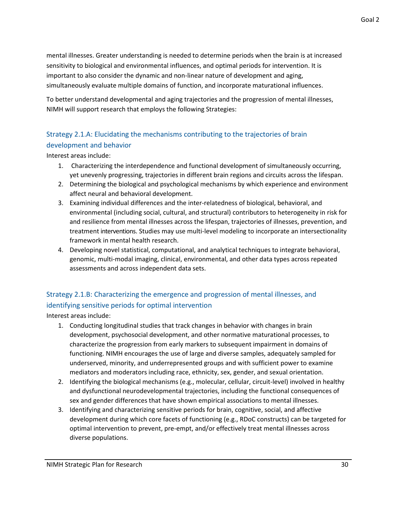mental illnesses. Greater understanding is needed to determine periods when the brain is at increased sensitivity to biological and environmental influences, and optimal periods for intervention. It is important to also consider the dynamic and non-linear nature of development and aging,

simultaneously evaluate multiple domains of function, and incorporate maturational influences.

To better understand developmental and aging trajectories and the progression of mental illnesses, NIMH will support research that employs the following Strategies:

#### Strategy 2.1.A: Elucidating the mechanisms contributing to the trajectories of brain development and behavior

Interest areas include:

- 1. Characterizing the interdependence and functional development of simultaneously occurring, yet unevenly progressing, trajectories in different brain regions and circuits across the lifespan.
- 2. Determining the biological and psychological mechanisms by which experience and environment affect neural and behavioral development.
- 3. Examining individual differences and the inter-relatedness of biological, behavioral, and environmental (including social, cultural, and structural) contributors to heterogeneity in risk for and resilience from mental illnesses across the lifespan, trajectories of illnesses, prevention, and treatment interventions. Studies may use multi-level modeling to incorporate an intersectionality framework in mental health research.
- 4. Developing novel statistical, computational, and analytical techniques to integrate behavioral, genomic, multi-modal imaging, clinical, environmental, and other data types across repeated assessments and across independent data sets.

#### Strategy 2.1.B: Characterizing the emergence and progression of mental illnesses, and identifying sensitive periods for optimal intervention

- 1. Conducting longitudinal studies that track changes in behavior with changes in brain development, psychosocial development, and other normative maturational processes, to characterize the progression from early markers to subsequent impairment in domains of functioning. NIMH encourages the use of large and diverse samples, adequately sampled for underserved, minority, and underrepresented groups and with sufficient power to examine mediators and moderators including race, ethnicity, sex, gender, and sexual orientation.
- 2. Identifying the biological mechanisms (e.g., molecular, cellular, circuit-level) involved in healthy and dysfunctional neurodevelopmental trajectories, including the functional consequences of sex and gender differences that have shown empirical associations to mental illnesses.
- 3. Identifying and characterizing sensitive periods for brain, cognitive, social, and affective development during which core facets of functioning (e.g., RDoC constructs) can be targeted for optimal intervention to prevent, pre-empt, and/or effectively treat mental illnesses across diverse populations.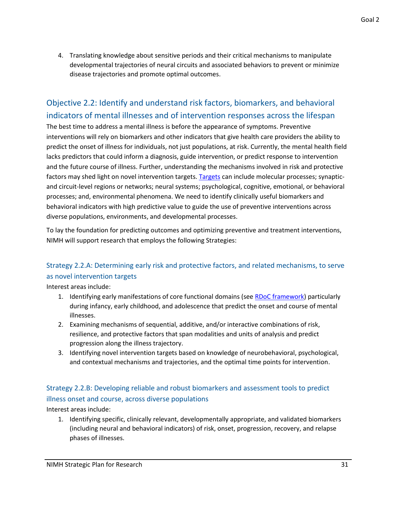4. Translating knowledge about sensitive periods and their critical mechanisms to manipulate developmental trajectories of neural circuits and associated behaviors to prevent or minimize disease trajectories and promote optimal outcomes.

### <span id="page-33-0"></span>Objective 2.2: Identify and understand risk factors, biomarkers, and behavioral indicators of mental illnesses and of intervention responses across the lifespan

The best time to address a mental illness is before the appearance of symptoms. Preventive interventions will rely on biomarkers and other indicators that give health care providers the ability to predict the onset of illness for individuals, not just populations, at risk. Currently, the mental health field lacks predictors that could inform a diagnosis, guide intervention, or predict response to intervention and the future course of illness. Further, understanding the mechanisms involved in risk and protective factors may shed light on novel intervention targets[. Targets](https://www.nimh.nih.gov/funding/opportunities-announcements/clinical-trials-foas/index.shtml#faq) can include molecular processes; synapticand circuit-level regions or networks; neural systems; psychological, cognitive, emotional, or behavioral processes; and, environmental phenomena. We need to identify clinically useful biomarkers and behavioral indicators with high predictive value to guide the use of preventive interventions across diverse populations, environments, and developmental processes.

To lay the foundation for predicting outcomes and optimizing preventive and treatment interventions, NIMH will support research that employs the following Strategies:

#### Strategy 2.2.A: Determining early risk and protective factors, and related mechanisms, to serve as novel intervention targets

Interest areas include:

- 1. Identifying early manifestations of core functional domains (see [RDoC framework\)](https://www.nimh.nih.gov/research/research-funded-by-nimh/rdoc/index.shtml) particularly during infancy, early childhood, and adolescence that predict the onset and course of mental illnesses.
- 2. Examining mechanisms of sequential, additive, and/or interactive combinations of risk, resilience, and protective factors that span modalities and units of analysis and predict progression along the illness trajectory.
- 3. Identifying novel intervention targets based on knowledge of neurobehavioral, psychological, and contextual mechanisms and trajectories, and the optimal time points for intervention.

#### Strategy 2.2.B: Developing reliable and robust biomarkers and assessment tools to predict illness onset and course, across diverse populations

Interest areas include:

1. Identifying specific, clinically relevant, developmentally appropriate, and validated biomarkers (including neural and behavioral indicators) of risk, onset, progression, recovery, and relapse phases of illnesses.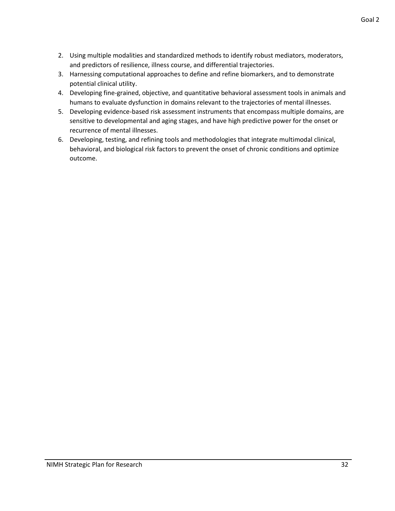- 2. Using multiple modalities and standardized methods to identify robust mediators, moderators, and predictors of resilience, illness course, and differential trajectories.
- 3. Harnessing computational approaches to define and refine biomarkers, and to demonstrate potential clinical utility.
- 4. Developing fine-grained, objective, and quantitative behavioral assessment tools in animals and humans to evaluate dysfunction in domains relevant to the trajectories of mental illnesses.
- 5. Developing evidence-based risk assessment instruments that encompass multiple domains, are sensitive to developmental and aging stages, and have high predictive power for the onset or recurrence of mental illnesses.
- 6. Developing, testing, and refining tools and methodologies that integrate multimodal clinical, behavioral, and biological risk factors to prevent the onset of chronic conditions and optimize outcome.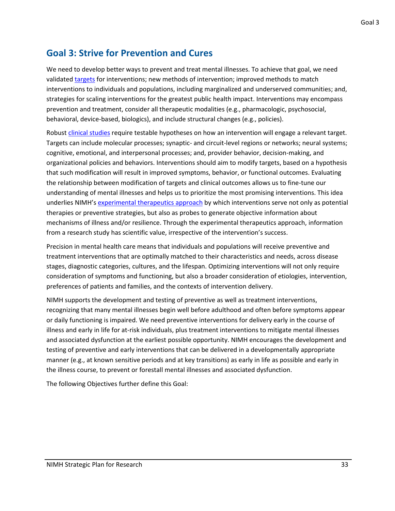### <span id="page-35-0"></span>**Goal 3: Strive for Prevention and Cures**

We need to develop better ways to prevent and treat mental illnesses. To achieve that goal, we need validated [targets](https://www.nimh.nih.gov/funding/opportunities-announcements/clinical-trials-foas/index.shtml#faq) for interventions; new methods of intervention; improved methods to match interventions to individuals and populations, including marginalized and underserved communities; and, strategies for scaling interventions for the greatest public health impact. Interventions may encompass prevention and treatment, consider all therapeutic modalities (e.g., pharmacologic, psychosocial, behavioral, device-based, biologics), and include structural changes (e.g., policies).

Robust [clinical studies](https://www.nimh.nih.gov/funding/opportunities-announcements/clinical-trials-foas/index.shtml) require testable hypotheses on how an intervention will engage a relevant target. Targets can include molecular processes; synaptic- and circuit-level regions or networks; neural systems; cognitive, emotional, and interpersonal processes; and, provider behavior, decision-making, and organizational policies and behaviors. Interventions should aim to modify targets, based on a hypothesis that such modification will result in improved symptoms, behavior, or functional outcomes. Evaluating the relationship between modification of targets and clinical outcomes allows us to fine-tune our understanding of mental illnesses and helps us to prioritize the most promising interventions. This idea underlies NIMH's [experimental therapeutics approach](https://www.nimh.nih.gov/funding/opportunities-announcements/clinical-trials-foas/index.shtml#faq) by which interventions serve not only as potential therapies or preventive strategies, but also as probes to generate objective information about mechanisms of illness and/or resilience. Through the experimental therapeutics approach, information from a research study has scientific value, irrespective of the intervention's success.

Precision in mental health care means that individuals and populations will receive preventive and treatment interventions that are optimally matched to their characteristics and needs, across disease stages, diagnostic categories, cultures, and the lifespan. Optimizing interventions will not only require consideration of symptoms and functioning, but also a broader consideration of etiologies, intervention, preferences of patients and families, and the contexts of intervention delivery.

NIMH supports the development and testing of preventive as well as treatment interventions, recognizing that many mental illnesses begin well before adulthood and often before symptoms appear or daily functioning is impaired. We need preventive interventions for delivery early in the course of illness and early in life for at-risk individuals, plus treatment interventions to mitigate mental illnesses and associated dysfunction at the earliest possible opportunity. NIMH encourages the development and testing of preventive and early interventions that can be delivered in a developmentally appropriate manner (e.g., at known sensitive periods and at key transitions) as early in life as possible and early in the illness course, to prevent or forestall mental illnesses and associated dysfunction.

The following Objectives further define this Goal: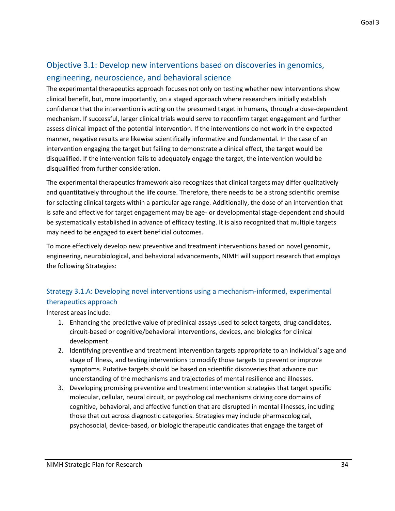### <span id="page-36-0"></span>Objective 3.1: Develop new interventions based on discoveries in genomics, engineering, neuroscience, and behavioral science

The experimental therapeutics approach focuses not only on testing whether new interventions show clinical benefit, but, more importantly, on a staged approach where researchers initially establish confidence that the intervention is acting on the presumed target in humans, through a dose-dependent mechanism. If successful, larger clinical trials would serve to reconfirm target engagement and further assess clinical impact of the potential intervention. If the interventions do not work in the expected manner, negative results are likewise scientifically informative and fundamental. In the case of an intervention engaging the target but failing to demonstrate a clinical effect, the target would be disqualified. If the intervention fails to adequately engage the target, the intervention would be disqualified from further consideration.

The experimental therapeutics framework also recognizes that clinical targets may differ qualitatively and quantitatively throughout the life course. Therefore, there needs to be a strong scientific premise for selecting clinical targets within a particular age range. Additionally, the dose of an intervention that is safe and effective for target engagement may be age- or developmental stage-dependent and should be systematically established in advance of efficacy testing. It is also recognized that multiple targets may need to be engaged to exert beneficial outcomes.

To more effectively develop new preventive and treatment interventions based on novel genomic, engineering, neurobiological, and behavioral advancements, NIMH will support research that employs the following Strategies:

#### Strategy 3.1.A: Developing novel interventions using a mechanism-informed, experimental therapeutics approach

- 1. Enhancing the predictive value of preclinical assays used to select targets, drug candidates, circuit-based or cognitive/behavioral interventions, devices, and biologics for clinical development.
- 2. Identifying preventive and treatment intervention targets appropriate to an individual's age and stage of illness, and testing interventions to modify those targets to prevent or improve symptoms. Putative targets should be based on scientific discoveries that advance our understanding of the mechanisms and trajectories of mental resilience and illnesses.
- 3. Developing promising preventive and treatment intervention strategies that target specific molecular, cellular, neural circuit, or psychological mechanisms driving core domains of cognitive, behavioral, and affective function that are disrupted in mental illnesses, including those that cut across diagnostic categories. Strategies may include pharmacological, psychosocial, device-based, or biologic therapeutic candidates that engage the target of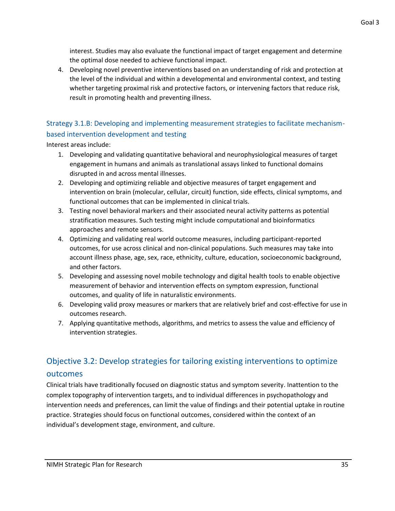Goal 3

interest. Studies may also evaluate the functional impact of target engagement and determine the optimal dose needed to achieve functional impact.

4. Developing novel preventive interventions based on an understanding of risk and protection at the level of the individual and within a developmental and environmental context, and testing whether targeting proximal risk and protective factors, or intervening factors that reduce risk, result in promoting health and preventing illness.

#### Strategy 3.1.B: Developing and implementing measurement strategies to facilitate mechanismbased intervention development and testing

Interest areas include:

- 1. Developing and validating quantitative behavioral and neurophysiological measures of target engagement in humans and animals as translational assays linked to functional domains disrupted in and across mental illnesses.
- 2. Developing and optimizing reliable and objective measures of target engagement and intervention on brain (molecular, cellular, circuit) function, side effects, clinical symptoms, and functional outcomes that can be implemented in clinical trials.
- 3. Testing novel behavioral markers and their associated neural activity patterns as potential stratification measures. Such testing might include computational and bioinformatics approaches and remote sensors.
- 4. Optimizing and validating real world outcome measures, including participant-reported outcomes, for use across clinical and non-clinical populations. Such measures may take into account illness phase, age, sex, race, ethnicity, culture, education, socioeconomic background, and other factors.
- 5. Developing and assessing novel mobile technology and digital health tools to enable objective measurement of behavior and intervention effects on symptom expression, functional outcomes, and quality of life in naturalistic environments.
- 6. Developing valid proxy measures or markers that are relatively brief and cost-effective for use in outcomes research.
- 7. Applying quantitative methods, algorithms, and metrics to assess the value and efficiency of intervention strategies.

### <span id="page-37-0"></span>Objective 3.2: Develop strategies for tailoring existing interventions to optimize outcomes

Clinical trials have traditionally focused on diagnostic status and symptom severity. Inattention to the complex topography of intervention targets, and to individual differences in psychopathology and intervention needs and preferences, can limit the value of findings and their potential uptake in routine practice. Strategies should focus on functional outcomes, considered within the context of an individual's development stage, environment, and culture.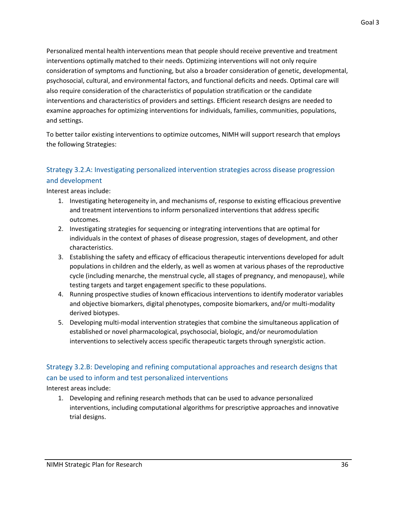Personalized mental health interventions mean that people should receive preventive and treatment interventions optimally matched to their needs. Optimizing interventions will not only require consideration of symptoms and functioning, but also a broader consideration of genetic, developmental, psychosocial, cultural, and environmental factors, and functional deficits and needs. Optimal care will also require consideration of the characteristics of population stratification or the candidate interventions and characteristics of providers and settings. Efficient research designs are needed to examine approaches for optimizing interventions for individuals, families, communities, populations, and settings.

To better tailor existing interventions to optimize outcomes, NIMH will support research that employs the following Strategies:

#### Strategy 3.2.A: Investigating personalized intervention strategies across disease progression and development

Interest areas include:

- 1. Investigating heterogeneity in, and mechanisms of, response to existing efficacious preventive and treatment interventions to inform personalized interventions that address specific outcomes.
- 2. Investigating strategies for sequencing or integrating interventions that are optimal for individuals in the context of phases of disease progression, stages of development, and other characteristics.
- 3. Establishing the safety and efficacy of efficacious therapeutic interventions developed for adult populations in children and the elderly, as well as women at various phases of the reproductive cycle (including menarche, the menstrual cycle, all stages of pregnancy, and menopause), while testing targets and target engagement specific to these populations.
- 4. Running prospective studies of known efficacious interventions to identify moderator variables and objective biomarkers, digital phenotypes, composite biomarkers, and/or multi-modality derived biotypes.
- 5. Developing multi-modal intervention strategies that combine the simultaneous application of established or novel pharmacological, psychosocial, biologic, and/or neuromodulation interventions to selectively access specific therapeutic targets through synergistic action.

#### Strategy 3.2.B: Developing and refining computational approaches and research designs that can be used to inform and test personalized interventions

Interest areas include:

1. Developing and refining research methods that can be used to advance personalized interventions, including computational algorithms for prescriptive approaches and innovative trial designs.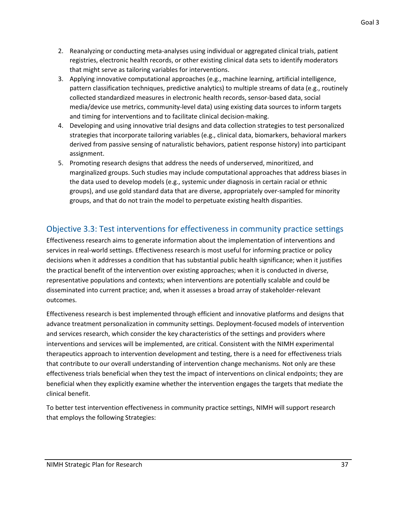- 2. Reanalyzing or conducting meta-analyses using individual or aggregated clinical trials, patient registries, electronic health records, or other existing clinical data sets to identify moderators that might serve as tailoring variables for interventions.
- 3. Applying innovative computational approaches (e.g., machine learning, artificial intelligence, pattern classification techniques, predictive analytics) to multiple streams of data (e.g., routinely collected standardized measures in electronic health records, sensor-based data, social media/device use metrics, community-level data) using existing data sources to inform targets and timing for interventions and to facilitate clinical decision-making.
- 4. Developing and using innovative trial designs and data collection strategies to test personalized strategies that incorporate tailoring variables (e.g., clinical data, biomarkers, behavioral markers derived from passive sensing of naturalistic behaviors, patient response history) into participant assignment.
- 5. Promoting research designs that address the needs of underserved, minoritized, and marginalized groups. Such studies may include computational approaches that address biases in the data used to develop models (e.g., systemic under diagnosis in certain racial or ethnic groups), and use gold standard data that are diverse, appropriately over-sampled for minority groups, and that do not train the model to perpetuate existing health disparities.

### <span id="page-39-0"></span>Objective 3.3: Test interventions for effectiveness in community practice settings

Effectiveness research aims to generate information about the implementation of interventions and services in real-world settings. Effectiveness research is most useful for informing practice or policy decisions when it addresses a condition that has substantial public health significance; when it justifies the practical benefit of the intervention over existing approaches; when it is conducted in diverse, representative populations and contexts; when interventions are potentially scalable and could be disseminated into current practice; and, when it assesses a broad array of stakeholder-relevant outcomes.

Effectiveness research is best implemented through efficient and innovative platforms and designs that advance treatment personalization in community settings. Deployment-focused models of intervention and services research, which consider the key characteristics of the settings and providers where interventions and services will be implemented, are critical. Consistent with the NIMH experimental therapeutics approach to intervention development and testing, there is a need for effectiveness trials that contribute to our overall understanding of intervention change mechanisms. Not only are these effectiveness trials beneficial when they test the impact of interventions on clinical endpoints; they are beneficial when they explicitly examine whether the intervention engages the targets that mediate the clinical benefit.

To better test intervention effectiveness in community practice settings, NIMH will support research that employs the following Strategies: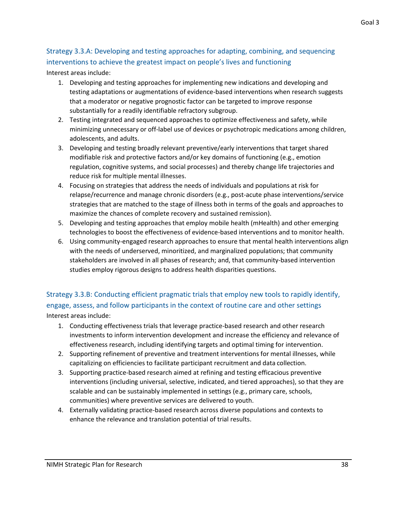#### Strategy 3.3.A: Developing and testing approaches for adapting, combining, and sequencing interventions to achieve the greatest impact on people's lives and functioning Interest areas include:

- 1. Developing and testing approaches for implementing new indications and developing and testing adaptations or augmentations of evidence-based interventions when research suggests that a moderator or negative prognostic factor can be targeted to improve response substantially for a readily identifiable refractory subgroup.
- 2. Testing integrated and sequenced approaches to optimize effectiveness and safety, while minimizing unnecessary or off-label use of devices or psychotropic medications among children, adolescents, and adults.
- 3. Developing and testing broadly relevant preventive/early interventions that target shared modifiable risk and protective factors and/or key domains of functioning (e.g., emotion regulation, cognitive systems, and social processes) and thereby change life trajectories and reduce risk for multiple mental illnesses.
- 4. Focusing on strategies that address the needs of individuals and populations at risk for relapse/recurrence and manage chronic disorders (e.g., post-acute phase interventions/service strategies that are matched to the stage of illness both in terms of the goals and approaches to maximize the chances of complete recovery and sustained remission).
- 5. Developing and testing approaches that employ mobile health (mHealth) and other emerging technologies to boost the effectiveness of evidence-based interventions and to monitor health.
- 6. Using community-engaged research approaches to ensure that mental health interventions align with the needs of underserved, minoritized, and marginalized populations; that community stakeholders are involved in all phases of research; and, that community-based intervention studies employ rigorous designs to address health disparities questions.

Strategy 3.3.B: Conducting efficient pragmatic trials that employ new tools to rapidly identify, engage, assess, and follow participants in the context of routine care and other settings Interest areas include:

- 1. Conducting effectiveness trials that leverage practice-based research and other research investments to inform intervention development and increase the efficiency and relevance of effectiveness research, including identifying targets and optimal timing for intervention.
- 2. Supporting refinement of preventive and treatment interventions for mental illnesses, while capitalizing on efficiencies to facilitate participant recruitment and data collection.
- 3. Supporting practice-based research aimed at refining and testing efficacious preventive interventions (including universal, selective, indicated, and tiered approaches), so that they are scalable and can be sustainably implemented in settings (e.g., primary care, schools, communities) where preventive services are delivered to youth.
- 4. Externally validating practice-based research across diverse populations and contexts to enhance the relevance and translation potential of trial results.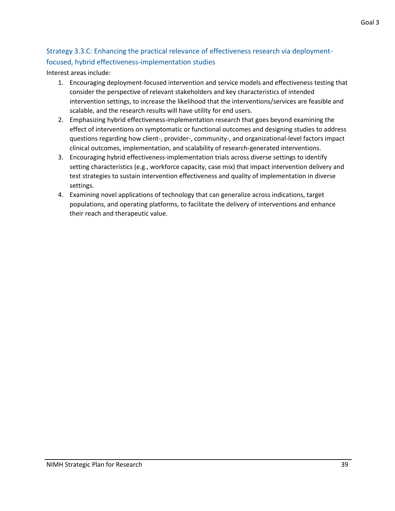### Strategy 3.3.C: Enhancing the practical relevance of effectiveness research via deploymentfocused, hybrid effectiveness-implementation studies

- 1. Encouraging deployment-focused intervention and service models and effectiveness testing that consider the perspective of relevant stakeholders and key characteristics of intended intervention settings, to increase the likelihood that the interventions/services are feasible and scalable, and the research results will have utility for end users.
- 2. Emphasizing hybrid effectiveness-implementation research that goes beyond examining the effect of interventions on symptomatic or functional outcomes and designing studies to address questions regarding how client-, provider-, community-, and organizational-level factors impact clinical outcomes, implementation, and scalability of research-generated interventions.
- 3. Encouraging hybrid effectiveness-implementation trials across diverse settings to identify setting characteristics (e.g., workforce capacity, case mix) that impact intervention delivery and test strategies to sustain intervention effectiveness and quality of implementation in diverse settings.
- 4. Examining novel applications of technology that can generalize across indications, target populations, and operating platforms, to facilitate the delivery of interventions and enhance their reach and therapeutic value.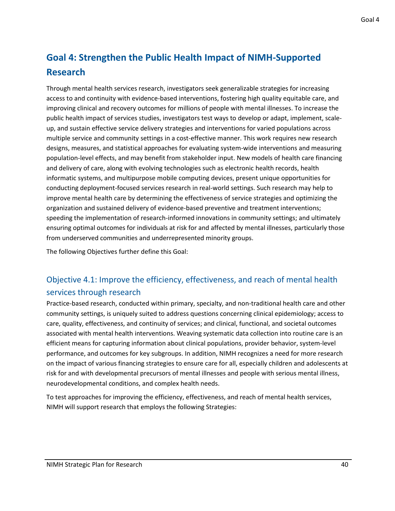### <span id="page-42-0"></span>**Goal 4: Strengthen the Public Health Impact of NIMH-Supported Research**

Through mental health services research, investigators seek generalizable strategies for increasing access to and continuity with evidence-based interventions, fostering high quality equitable care, and improving clinical and recovery outcomes for millions of people with mental illnesses. To increase the public health impact of services studies, investigators test ways to develop or adapt, implement, scaleup, and sustain effective service delivery strategies and interventions for varied populations across multiple service and community settings in a cost-effective manner. This work requires new research designs, measures, and statistical approaches for evaluating system-wide interventions and measuring population-level effects, and may benefit from stakeholder input. New models of health care financing and delivery of care, along with evolving technologies such as electronic health records, health informatic systems, and multipurpose mobile computing devices, present unique opportunities for conducting deployment-focused services research in real-world settings. Such research may help to improve mental health care by determining the effectiveness of service strategies and optimizing the organization and sustained delivery of evidence-based preventive and treatment interventions; speeding the implementation of research-informed innovations in community settings; and ultimately ensuring optimal outcomes for individuals at risk for and affected by mental illnesses, particularly those from underserved communities and underrepresented minority groups.

<span id="page-42-1"></span>The following Objectives further define this Goal:

### Objective 4.1: Improve the efficiency, effectiveness, and reach of mental health services through research

Practice-based research, conducted within primary, specialty, and non-traditional health care and other community settings, is uniquely suited to address questions concerning clinical epidemiology; access to care, quality, effectiveness, and continuity of services; and clinical, functional, and societal outcomes associated with mental health interventions. Weaving systematic data collection into routine care is an efficient means for capturing information about clinical populations, provider behavior, system-level performance, and outcomes for key subgroups. In addition, NIMH recognizes a need for more research on the impact of various financing strategies to ensure care for all, especially children and adolescents at risk for and with developmental precursors of mental illnesses and people with serious mental illness, neurodevelopmental conditions, and complex health needs.

To test approaches for improving the efficiency, effectiveness, and reach of mental health services, NIMH will support research that employs the following Strategies: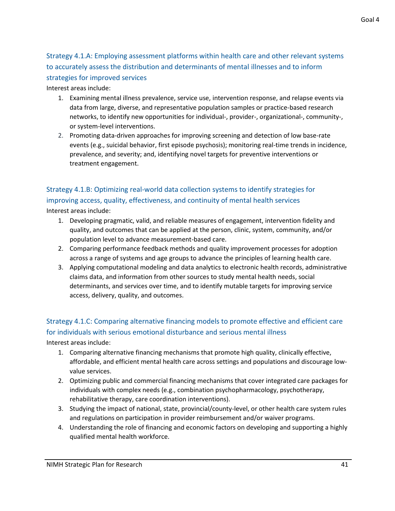Strategy 4.1.A: Employing assessment platforms within health care and other relevant systems to accurately assess the distribution and determinants of mental illnesses and to inform strategies for improved services

Interest areas include:

- 1. Examining mental illness prevalence, service use, intervention response, and relapse events via data from large, diverse, and representative population samples or practice-based research networks, to identify new opportunities for individual-, provider-, organizational-, community-, or system-level interventions.
- 2. Promoting data-driven approaches for improving screening and detection of low base-rate events (e.g., suicidal behavior, first episode psychosis); monitoring real-time trends in incidence, prevalence, and severity; and, identifying novel targets for preventive interventions or treatment engagement.

### Strategy 4.1.B: Optimizing real-world data collection systems to identify strategies for improving access, quality, effectiveness, and continuity of mental health services

Interest areas include:

- 1. Developing pragmatic, valid, and reliable measures of engagement, intervention fidelity and quality, and outcomes that can be applied at the person, clinic, system, community, and/or population level to advance measurement-based care.
- 2. Comparing performance feedback methods and quality improvement processes for adoption across a range of systems and age groups to advance the principles of learning health care.
- 3. Applying computational modeling and data analytics to electronic health records, administrative claims data, and information from other sources to study mental health needs, social determinants, and services over time, and to identify mutable targets for improving service access, delivery, quality, and outcomes.

### Strategy 4.1.C: Comparing alternative financing models to promote effective and efficient care for individuals with serious emotional disturbance and serious mental illness

- 1. Comparing alternative financing mechanisms that promote high quality, clinically effective, affordable, and efficient mental health care across settings and populations and discourage lowvalue services.
- 2. Optimizing public and commercial financing mechanisms that cover integrated care packages for individuals with complex needs (e.g., combination psychopharmacology, psychotherapy, rehabilitative therapy, care coordination interventions).
- 3. Studying the impact of national, state, provincial/county-level, or other health care system rules and regulations on participation in provider reimbursement and/or waiver programs.
- 4. Understanding the role of financing and economic factors on developing and supporting a highly qualified mental health workforce.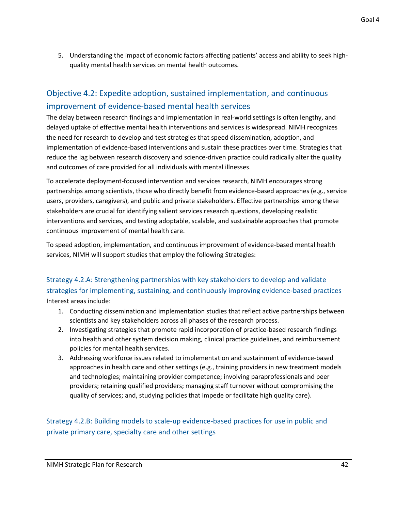5. Understanding the impact of economic factors affecting patients' access and ability to seek highquality mental health services on mental health outcomes.

### <span id="page-44-0"></span>Objective 4.2: Expedite adoption, sustained implementation, and continuous improvement of evidence-based mental health services

The delay between research findings and implementation in real-world settings is often lengthy, and delayed uptake of effective mental health interventions and services is widespread. NIMH recognizes the need for research to develop and test strategies that speed dissemination, adoption, and implementation of evidence-based interventions and sustain these practices over time. Strategies that reduce the lag between research discovery and science-driven practice could radically alter the quality and outcomes of care provided for all individuals with mental illnesses.

To accelerate deployment-focused intervention and services research, NIMH encourages strong partnerships among scientists, those who directly benefit from evidence-based approaches (e.g., service users, providers, caregivers), and public and private stakeholders. Effective partnerships among these stakeholders are crucial for identifying salient services research questions, developing realistic interventions and services, and testing adoptable, scalable, and sustainable approaches that promote continuous improvement of mental health care.

To speed adoption, implementation, and continuous improvement of evidence-based mental health services, NIMH will support studies that employ the following Strategies:

Strategy 4.2.A: Strengthening partnerships with key stakeholders to develop and validate strategies for implementing, sustaining, and continuously improving evidence-based practices Interest areas include:

- 1. Conducting dissemination and implementation studies that reflect active partnerships between scientists and key stakeholders across all phases of the research process.
- 2. Investigating strategies that promote rapid incorporation of practice-based research findings into health and other system decision making, clinical practice guidelines, and reimbursement policies for mental health services.
- 3. Addressing workforce issues related to implementation and sustainment of evidence-based approaches in health care and other settings (e.g., training providers in new treatment models and technologies; maintaining provider competence; involving paraprofessionals and peer providers; retaining qualified providers; managing staff turnover without compromising the quality of services; and, studying policies that impede or facilitate high quality care).

#### Strategy 4.2.B: Building models to scale-up evidence-based practices for use in public and private primary care, specialty care and other settings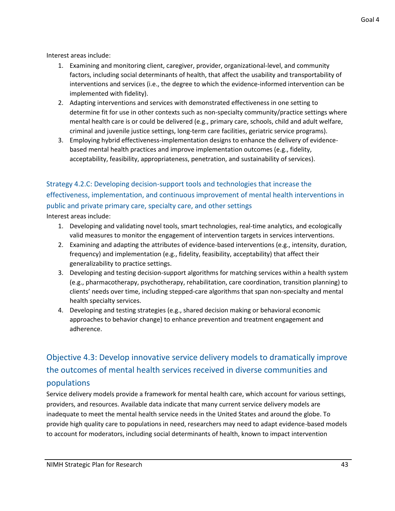Interest areas include:

- 1. Examining and monitoring client, caregiver, provider, organizational-level, and community factors, including social determinants of health, that affect the usability and transportability of interventions and services (i.e., the degree to which the evidence-informed intervention can be implemented with fidelity).
- 2. Adapting interventions and services with demonstrated effectiveness in one setting to determine fit for use in other contexts such as non-specialty community/practice settings where mental health care is or could be delivered (e.g., primary care, schools, child and adult welfare, criminal and juvenile justice settings, long-term care facilities, geriatric service programs).
- 3. Employing hybrid effectiveness-implementation designs to enhance the delivery of evidencebased mental health practices and improve implementation outcomes (e.g., fidelity, acceptability, feasibility, appropriateness, penetration, and sustainability of services).

### Strategy 4.2.C: Developing decision-support tools and technologies that increase the effectiveness, implementation, and continuous improvement of mental health interventions in public and private primary care, specialty care, and other settings

Interest areas include:

- 1. Developing and validating novel tools, smart technologies, real-time analytics, and ecologically valid measures to monitor the engagement of intervention targets in services interventions.
- 2. Examining and adapting the attributes of evidence-based interventions (e.g., intensity, duration, frequency) and implementation (e.g., fidelity, feasibility, acceptability) that affect their generalizability to practice settings.
- 3. Developing and testing decision-support algorithms for matching services within a health system (e.g., pharmacotherapy, psychotherapy, rehabilitation, care coordination, transition planning) to clients' needs over time, including stepped-care algorithms that span non-specialty and mental health specialty services.
- 4. Developing and testing strategies (e.g., shared decision making or behavioral economic approaches to behavior change) to enhance prevention and treatment engagement and adherence.

### <span id="page-45-0"></span>Objective 4.3: Develop innovative service delivery models to dramatically improve the outcomes of mental health services received in diverse communities and populations

Service delivery models provide a framework for mental health care, which account for various settings, providers, and resources. Available data indicate that many current service delivery models are inadequate to meet the mental health service needs in the United States and around the globe. To provide high quality care to populations in need, researchers may need to adapt evidence-based models to account for moderators, including social determinants of health, known to impact intervention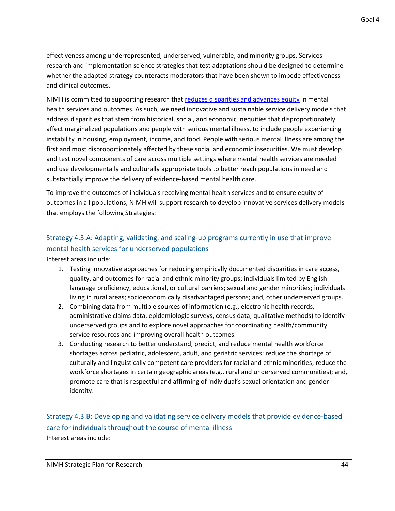effectiveness among underrepresented, underserved, vulnerable, and minority groups. Services research and implementation science strategies that test adaptations should be designed to determine whether the adapted strategy counteracts moderators that have been shown to impede effectiveness and clinical outcomes.

NIMH is committed to supporting research tha[t reduces disparities and advances equity](https://www.nimh.nih.gov/about/organization/od/odwd/index.shtml) in mental health services and outcomes. As such, we need innovative and sustainable service delivery models that address disparities that stem from historical, social, and economic inequities that disproportionately affect marginalized populations and people with serious mental illness, to include people experiencing instability in housing, employment, income, and food. People with serious mental illness are among the first and most disproportionately affected by these social and economic insecurities. We must develop and test novel components of care across multiple settings where mental health services are needed and use developmentally and culturally appropriate tools to better reach populations in need and substantially improve the delivery of evidence-based mental health care.

To improve the outcomes of individuals receiving mental health services and to ensure equity of outcomes in all populations, NIMH will support research to develop innovative services delivery models that employs the following Strategies:

#### Strategy 4.3.A: Adapting, validating, and scaling-up programs currently in use that improve mental health services for underserved populations

Interest areas include:

- 1. Testing innovative approaches for reducing empirically documented disparities in care access, quality, and outcomes for racial and ethnic minority groups; individuals limited by English language proficiency, educational, or cultural barriers; sexual and gender minorities; individuals living in rural areas; socioeconomically disadvantaged persons; and, other underserved groups.
- 2. Combining data from multiple sources of information (e.g., electronic health records, administrative claims data, epidemiologic surveys, census data, qualitative methods) to identify underserved groups and to explore novel approaches for coordinating health/community service resources and improving overall health outcomes.
- 3. Conducting research to better understand, predict, and reduce mental health workforce shortages across pediatric, adolescent, adult, and geriatric services; reduce the shortage of culturally and linguistically competent care providers for racial and ethnic minorities; reduce the workforce shortages in certain geographic areas (e.g., rural and underserved communities); and, promote care that is respectful and affirming of individual's sexual orientation and gender identity.

### Strategy 4.3.B: Developing and validating service delivery models that provide evidence-based care for individuals throughout the course of mental illness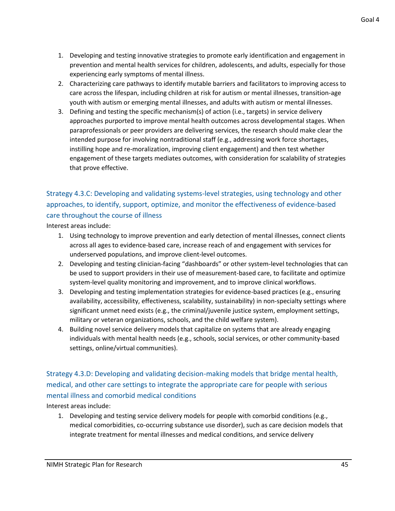- 1. Developing and testing innovative strategies to promote early identification and engagement in prevention and mental health services for children, adolescents, and adults, especially for those experiencing early symptoms of mental illness.
- 2. Characterizing care pathways to identify mutable barriers and facilitators to improving access to care across the lifespan, including children at risk for autism or mental illnesses, transition-age youth with autism or emerging mental illnesses, and adults with autism or mental illnesses.
- 3. Defining and testing the specific mechanism(s) of action (i.e., targets) in service delivery approaches purported to improve mental health outcomes across developmental stages. When paraprofessionals or peer providers are delivering services, the research should make clear the intended purpose for involving nontraditional staff (e.g., addressing work force shortages, instilling hope and re-moralization, improving client engagement) and then test whether engagement of these targets mediates outcomes, with consideration for scalability of strategies that prove effective.

### Strategy 4.3.C: Developing and validating systems-level strategies, using technology and other approaches, to identify, support, optimize, and monitor the effectiveness of evidence-based care throughout the course of illness

Interest areas include:

- 1. Using technology to improve prevention and early detection of mental illnesses, connect clients across all ages to evidence-based care, increase reach of and engagement with services for underserved populations, and improve client-level outcomes.
- 2. Developing and testing clinician-facing "dashboards" or other system-level technologies that can be used to support providers in their use of measurement-based care, to facilitate and optimize system-level quality monitoring and improvement, and to improve clinical workflows.
- 3. Developing and testing implementation strategies for evidence-based practices (e.g., ensuring availability, accessibility, effectiveness, scalability, sustainability) in non-specialty settings where significant unmet need exists (e.g., the criminal/juvenile justice system, employment settings, military or veteran organizations, schools, and the child welfare system).
- 4. Building novel service delivery models that capitalize on systems that are already engaging individuals with mental health needs (e.g., schools, social services, or other community-based settings, online/virtual communities).

### Strategy 4.3.D: Developing and validating decision-making models that bridge mental health, medical, and other care settings to integrate the appropriate care for people with serious mental illness and comorbid medical conditions

Interest areas include:

1. Developing and testing service delivery models for people with comorbid conditions (e.g., medical comorbidities, co-occurring substance use disorder), such as care decision models that integrate treatment for mental illnesses and medical conditions, and service delivery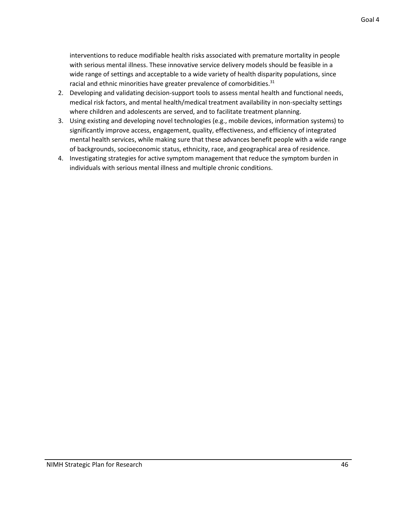interventions to reduce modifiable health risks associated with premature mortality in people with serious mental illness. These innovative service delivery models should be feasible in a wide range of settings and acceptable to a wide variety of health disparity populations, since racial and ethnic minorities have greater prevalence of comorbidities. $31$ 

- 2. Developing and validating decision-support tools to assess mental health and functional needs, medical risk factors, and mental health/medical treatment availability in non-specialty settings where children and adolescents are served, and to facilitate treatment planning.
- 3. Using existing and developing novel technologies (e.g., mobile devices, information systems) to significantly improve access, engagement, quality, effectiveness, and efficiency of integrated mental health services, while making sure that these advances benefit people with a wide range of backgrounds, socioeconomic status, ethnicity, race, and geographical area of residence.
- 4. Investigating strategies for active symptom management that reduce the symptom burden in individuals with serious mental illness and multiple chronic conditions.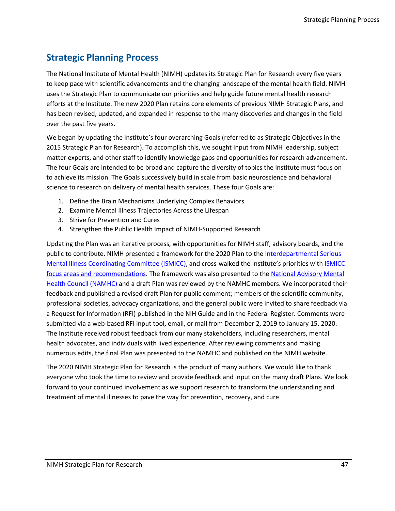### <span id="page-49-0"></span>**Strategic Planning Process**

The National Institute of Mental Health (NIMH) updates its Strategic Plan for Research every five years to keep pace with scientific advancements and the changing landscape of the mental health field. NIMH uses the Strategic Plan to communicate our priorities and help guide future mental health research efforts at the Institute. The new 2020 Plan retains core elements of previous NIMH Strategic Plans, and has been revised, updated, and expanded in response to the many discoveries and changes in the field over the past five years.

We began by updating the Institute's four overarching Goals (referred to as Strategic Objectives in the 2015 Strategic Plan for Research). To accomplish this, we sought input from NIMH leadership, subject matter experts, and other staff to identify knowledge gaps and opportunities for research advancement. The four Goals are intended to be broad and capture the diversity of topics the Institute must focus on to achieve its mission. The Goals successively build in scale from basic neuroscience and behavioral science to research on delivery of mental health services. These four Goals are:

- 1. Define the Brain Mechanisms Underlying Complex Behaviors
- 2. Examine Mental Illness Trajectories Across the Lifespan
- 3. Strive for Prevention and Cures
- 4. Strengthen the Public Health Impact of NIMH-Supported Research

Updating the Plan was an iterative process, with opportunities for NIMH staff, advisory boards, and the public to contribute. NIMH presented a framework for the 2020 Plan to th[e Interdepartmental Serious](https://www.samhsa.gov/ismicc)  [Mental Illness Coordinating Committee \(ISMICC\),](https://www.samhsa.gov/ismicc) and cross-walked the Institute's priorities with [ISMICC](https://www.samhsa.gov/sites/default/files/programs_campaigns/ismicc_2017_report_to_congress.pdf#page=84)  [focus areas and recommendations.](https://www.samhsa.gov/sites/default/files/programs_campaigns/ismicc_2017_report_to_congress.pdf#page=84) The framework was also presented to the [National Advisory Mental](https://www.nimh.nih.gov/about/advisory-boards-and-groups/namhc/index.shtml)  [Health Council \(NAMHC\)](https://www.nimh.nih.gov/about/advisory-boards-and-groups/namhc/index.shtml) and a draft Plan was reviewed by the NAMHC members. We incorporated their feedback and published a revised draft Plan for public comment; members of the scientific community, professional societies, advocacy organizations, and the general public were invited to share feedback via a Request for Information (RFI) published in the NIH Guide and in the Federal Register. Comments were submitted via a web-based RFI input tool, email, or mail from December 2, 2019 to January 15, 2020. The Institute received robust feedback from our many stakeholders, including researchers, mental health advocates, and individuals with lived experience. After reviewing comments and making numerous edits, the final Plan was presented to the NAMHC and published on the NIMH website.

The 2020 NIMH Strategic Plan for Research is the product of many authors. We would like to thank everyone who took the time to review and provide feedback and input on the many draft Plans. We look forward to your continued involvement as we support research to transform the understanding and treatment of mental illnesses to pave the way for prevention, recovery, and cure.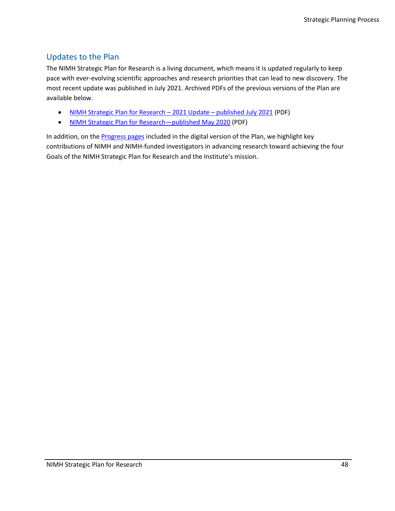#### <span id="page-50-0"></span>Updates to the Plan

The NIMH Strategic Plan for Research is a living document, which means it is updated regularly to keep pace with ever-evolving scientific approaches and research priorities that can lead to new discovery. The most recent update was published in July 2021. Archived PDFs of the previous versions of the Plan are available below.

- [NIMH Strategic Plan for Research](https://www.nimh.nih.gov/sites/default/files/documents/about/strategic-planning-reports/NIMH-Strategic-Plan-for-Research-2021-Update.pdf)  2021 Update published July 2021 (PDF)
- [NIMH Strategic Plan for Research](https://www.nimh.nih.gov/sites/default/files/documents/about/strategic-planning-reports/2020_nimh_strategic_plan_508.pdf)-published May 2020 (PDF)

In addition, on the [Progress pages](https://www.nimh.nih.gov/about/strategic-planning-reports/goal-1-define-brain-mechanisms) included in the digital version of the Plan, we highlight key contributions of NIMH and NIMH-funded investigators in advancing research toward achieving the four Goals of the NIMH Strategic Plan for Research and the Institute's mission.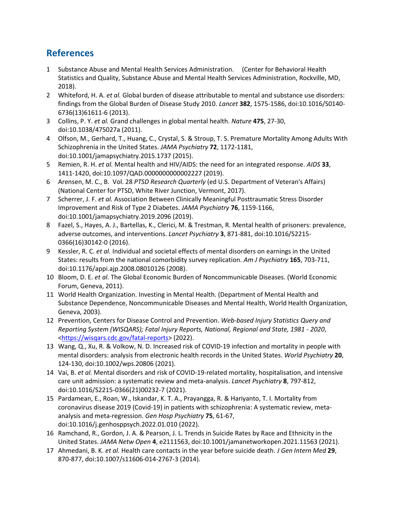### <span id="page-51-0"></span>**References**

- 1 Substance Abuse and Mental Health Services Administration. (Center for Behavioral Health Statistics and Quality, Substance Abuse and Mental Health Services Administration, Rockville, MD, 2018).
- 2 Whiteford, H. A. *et al.* Global burden of disease attributable to mental and substance use disorders: findings from the Global Burden of Disease Study 2010. *Lancet* **382**, 1575-1586, doi:10.1016/S0140- 6736(13)61611-6 (2013).
- 3 Collins, P. Y. *et al.* Grand challenges in global mental health. *Nature* **475**, 27-30, doi:10.1038/475027a (2011).
- 4 Olfson, M., Gerhard, T., Huang, C., Crystal, S. & Stroup, T. S. Premature Mortality Among Adults With Schizophrenia in the United States. *JAMA Psychiatry* **72**, 1172-1181, doi:10.1001/jamapsychiatry.2015.1737 (2015).
- 5 Remien, R. H. *et al.* Mental health and HIV/AIDS: the need for an integrated response. *AIDS* **33**, 1411-1420, doi:10.1097/QAD.0000000000002227 (2019).
- 6 Arensen, M. C., B. Vol. 28 *PTSD Research Quarterly* (ed U.S. Department of Veteran's Affairs) (National Center for PTSD, White River Junction, Vermont, 2017).
- 7 Scherrer, J. F. *et al.* Association Between Clinically Meaningful Posttraumatic Stress Disorder Improvement and Risk of Type 2 Diabetes. *JAMA Psychiatry* **76**, 1159-1166, doi:10.1001/jamapsychiatry.2019.2096 (2019).
- 8 Fazel, S., Hayes, A. J., Bartellas, K., Clerici, M. & Trestman, R. Mental health of prisoners: prevalence, adverse outcomes, and interventions. *Lancet Psychiatry* **3**, 871-881, doi:10.1016/S2215- 0366(16)30142-0 (2016).
- 9 Kessler, R. C. *et al.* Individual and societal effects of mental disorders on earnings in the United States: results from the national comorbidity survey replication. *Am J Psychiatry* **165**, 703-711, doi:10.1176/appi.ajp.2008.08010126 (2008).
- 10 Bloom, D. E. *et al.* The Global Economic Burden of Noncommunicable Diseases. (World Economic Forum, Geneva, 2011).
- 11 World Health Organization. Investing in Mental Health. (Department of Mental Health and Substance Dependence, Noncommunicable Diseases and Mental Health, World Health Organization, Geneva, 2003).
- 12 Prevention, Centers for Disease Control and Prevention. *Web-based Injury Statistics Query and Reporting System (WISQARS); Fatal Injury Reports, National, Regional and State, 1981 - 2020*, [<https://wisqars.cdc.gov/fatal-reports>](https://wisqars.cdc.gov/fatal-reports) (2022).
- 13 Wang, Q., Xu, R. & Volkow, N. D. Increased risk of COVID-19 infection and mortality in people with mental disorders: analysis from electronic health records in the United States. *World Psychiatry* **20**, 124-130, doi:10.1002/wps.20806 (2021).
- 14 Vai, B. *et al.* Mental disorders and risk of COVID-19-related mortality, hospitalisation, and intensive care unit admission: a systematic review and meta-analysis. *Lancet Psychiatry* **8**, 797-812, doi:10.1016/S2215-0366(21)00232-7 (2021).
- 15 Pardamean, E., Roan, W., Iskandar, K. T. A., Prayangga, R. & Hariyanto, T. I. Mortality from coronavirus disease 2019 (Covid-19) in patients with schizophrenia: A systematic review, metaanalysis and meta-regression. *Gen Hosp Psychiatry* **75**, 61-67, doi:10.1016/j.genhosppsych.2022.01.010 (2022).
- 16 Ramchand, R., Gordon, J. A. & Pearson, J. L. Trends in Suicide Rates by Race and Ethnicity in the United States. *JAMA Netw Open* **4**, e2111563, doi:10.1001/jamanetworkopen.2021.11563 (2021).
- 17 Ahmedani, B. K. *et al.* Health care contacts in the year before suicide death. *J Gen Intern Med* **29**, 870-877, doi:10.1007/s11606-014-2767-3 (2014).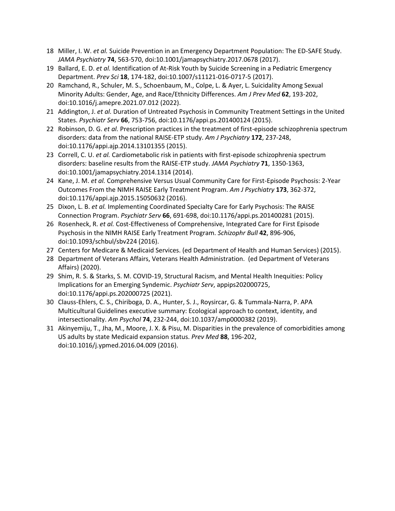- 18 Miller, I. W. *et al.* Suicide Prevention in an Emergency Department Population: The ED-SAFE Study. *JAMA Psychiatry* **74**, 563-570, doi:10.1001/jamapsychiatry.2017.0678 (2017).
- 19 Ballard, E. D. *et al.* Identification of At-Risk Youth by Suicide Screening in a Pediatric Emergency Department. *Prev Sci* **18**, 174-182, doi:10.1007/s11121-016-0717-5 (2017).
- 20 Ramchand, R., Schuler, M. S., Schoenbaum, M., Colpe, L. & Ayer, L. Suicidality Among Sexual Minority Adults: Gender, Age, and Race/Ethnicity Differences. *Am J Prev Med* **62**, 193-202, doi:10.1016/j.amepre.2021.07.012 (2022).
- 21 Addington, J. *et al.* Duration of Untreated Psychosis in Community Treatment Settings in the United States. *Psychiatr Serv* **66**, 753-756, doi:10.1176/appi.ps.201400124 (2015).
- 22 Robinson, D. G. *et al.* Prescription practices in the treatment of first-episode schizophrenia spectrum disorders: data from the national RAISE-ETP study. *Am J Psychiatry* **172**, 237-248, doi:10.1176/appi.ajp.2014.13101355 (2015).
- 23 Correll, C. U. *et al.* Cardiometabolic risk in patients with first-episode schizophrenia spectrum disorders: baseline results from the RAISE-ETP study. *JAMA Psychiatry* **71**, 1350-1363, doi:10.1001/jamapsychiatry.2014.1314 (2014).
- 24 Kane, J. M. *et al.* Comprehensive Versus Usual Community Care for First-Episode Psychosis: 2-Year Outcomes From the NIMH RAISE Early Treatment Program. *Am J Psychiatry* **173**, 362-372, doi:10.1176/appi.ajp.2015.15050632 (2016).
- 25 Dixon, L. B. *et al.* Implementing Coordinated Specialty Care for Early Psychosis: The RAISE Connection Program. *Psychiatr Serv* **66**, 691-698, doi:10.1176/appi.ps.201400281 (2015).
- 26 Rosenheck, R. *et al.* Cost-Effectiveness of Comprehensive, Integrated Care for First Episode Psychosis in the NIMH RAISE Early Treatment Program. *Schizophr Bull* **42**, 896-906, doi:10.1093/schbul/sbv224 (2016).
- 27 Centers for Medicare & Medicaid Services. (ed Department of Health and Human Services) (2015).
- 28 Department of Veterans Affairs, Veterans Health Administration. (ed Department of Veterans Affairs) (2020).
- 29 Shim, R. S. & Starks, S. M. COVID-19, Structural Racism, and Mental Health Inequities: Policy Implications for an Emerging Syndemic. *Psychiatr Serv*, appips202000725, doi:10.1176/appi.ps.202000725 (2021).
- 30 Clauss-Ehlers, C. S., Chiriboga, D. A., Hunter, S. J., Roysircar, G. & Tummala-Narra, P. APA Multicultural Guidelines executive summary: Ecological approach to context, identity, and intersectionality. *Am Psychol* **74**, 232-244, doi:10.1037/amp0000382 (2019).
- 31 Akinyemiju, T., Jha, M., Moore, J. X. & Pisu, M. Disparities in the prevalence of comorbidities among US adults by state Medicaid expansion status. *Prev Med* **88**, 196-202, doi:10.1016/j.ypmed.2016.04.009 (2016).